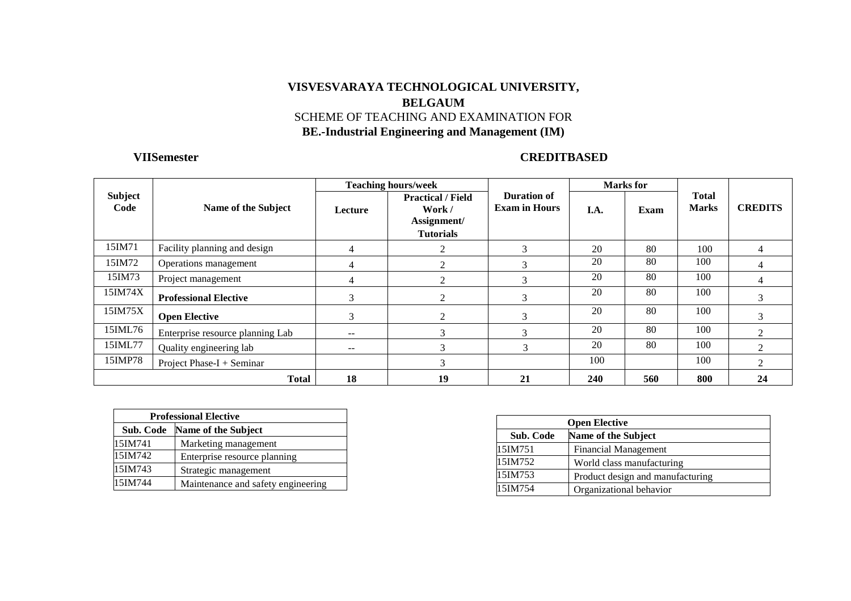# **VISVESVARAYA TECHNOLOGICAL UNIVERSITY, BELGAUM**  SCHEME OF TEACHING AND EXAMINATION FOR **BE.-Industrial Engineering and Management (IM)**

# **VIISemester CREDITBASED**

|                        |                                  | <b>Teaching hours/week</b> |                                                                       |                                     | <b>Marks</b> for |      |                              |                |
|------------------------|----------------------------------|----------------------------|-----------------------------------------------------------------------|-------------------------------------|------------------|------|------------------------------|----------------|
| <b>Subject</b><br>Code | Name of the Subject              | Lecture                    | <b>Practical / Field</b><br>Work /<br>Assignment/<br><b>Tutorials</b> | Duration of<br><b>Exam in Hours</b> | I.A.             | Exam | <b>Total</b><br><b>Marks</b> | <b>CREDITS</b> |
| 15IM71                 | Facility planning and design     | 4                          |                                                                       | 3                                   | 20               | 80   | 100                          | 4              |
| 15IM72                 | Operations management            | 4                          |                                                                       | 3                                   | 20               | 80   | 100                          | 4              |
| 15IM73                 | Project management               | 4                          |                                                                       | 3                                   | 20               | 80   | 100                          | 4              |
| 15IM74X                | <b>Professional Elective</b>     | 3                          | $\mathfrak{D}$                                                        | 3                                   | 20               | 80   | 100                          |                |
| 15IM75X                | <b>Open Elective</b>             | 3                          | ◠                                                                     | 3                                   | 20               | 80   | 100                          | 3              |
| 15IML76                | Enterprise resource planning Lab | $- -$                      | $\sim$                                                                | 3                                   | 20               | 80   | 100                          | 2              |
| 15IML77                | Quality engineering lab          | $- -$                      | $\sim$                                                                | 3                                   | 20               | 80   | 100                          | $\mathcal{D}$  |
| 15IMP78                | Project Phase- $I +$ Seminar     |                            | $\rightarrow$                                                         |                                     | 100              |      | 100                          | $\mathfrak{D}$ |
|                        | <b>Total</b>                     | 18                         | 19                                                                    | 21                                  | <b>240</b>       | 560  | 800                          | 24             |

|                                         | <b>Professional Elective</b>       |  |  |  |  |  |
|-----------------------------------------|------------------------------------|--|--|--|--|--|
| Sub. Code                               | Name of the Subject                |  |  |  |  |  |
| 15IM741                                 | Marketing management               |  |  |  |  |  |
| 15IM742<br>Enterprise resource planning |                                    |  |  |  |  |  |
| 15IM743                                 | Strategic management               |  |  |  |  |  |
| 15IM744                                 | Maintenance and safety engineering |  |  |  |  |  |

| <b>Open Elective</b> |                                  |  |  |  |  |
|----------------------|----------------------------------|--|--|--|--|
| Sub. Code            | Name of the Subject              |  |  |  |  |
| 15IM751              | <b>Financial Management</b>      |  |  |  |  |
| 15IM752              | World class manufacturing        |  |  |  |  |
| 15IM753              | Product design and manufacturing |  |  |  |  |
| 15IM754              | Organizational behavior          |  |  |  |  |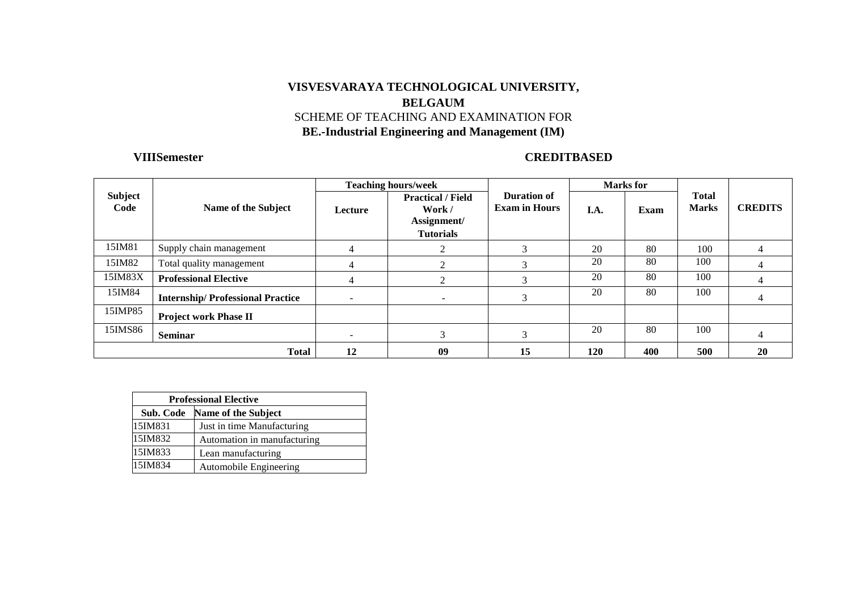# **VISVESVARAYA TECHNOLOGICAL UNIVERSITY, BELGAUM**  SCHEME OF TEACHING AND EXAMINATION FOR **BE.-Industrial Engineering and Management (IM)**

# **VIIISemester CREDITBASED**

|                 |                                         | <b>Teaching hours/week</b> |                                                                       |                                     | <b>Marks</b> for |      |                              |                |
|-----------------|-----------------------------------------|----------------------------|-----------------------------------------------------------------------|-------------------------------------|------------------|------|------------------------------|----------------|
| Subject<br>Code | Name of the Subject                     | Lecture                    | <b>Practical / Field</b><br>Work /<br>Assignment/<br><b>Tutorials</b> | Duration of<br><b>Exam in Hours</b> | I.A.             | Exam | <b>Total</b><br><b>Marks</b> | <b>CREDITS</b> |
| 15IM81          | Supply chain management                 | 4                          |                                                                       | 3                                   | 20               | 80   | 100                          |                |
| 15IM82          | Total quality management                | 4                          |                                                                       | 3                                   | 20               | 80   | 100                          |                |
| 15IM83X         | <b>Professional Elective</b>            | 4                          |                                                                       | 3                                   | 20               | 80   | 100                          |                |
| 15IM84          | <b>Internship/Professional Practice</b> | $\overline{\phantom{a}}$   | $\sim$                                                                | 3                                   | 20               | 80   | 100                          |                |
| 15IMP85         | <b>Project work Phase II</b>            |                            |                                                                       |                                     |                  |      |                              |                |
| 15IMS86         | <b>Seminar</b>                          |                            |                                                                       | 3                                   | 20               | 80   | 100                          |                |
|                 | <b>Total</b>                            | 12                         | 09                                                                    | 15                                  | 120              | 400  | 500                          | 20             |

| <b>Professional Elective</b> |                             |  |  |  |  |
|------------------------------|-----------------------------|--|--|--|--|
| Sub. Code                    | <b>Name of the Subject</b>  |  |  |  |  |
| 15IM831                      | Just in time Manufacturing  |  |  |  |  |
| 15IM832                      | Automation in manufacturing |  |  |  |  |
| 15IM833                      | Lean manufacturing          |  |  |  |  |
| 15IM834                      | Automobile Engineering      |  |  |  |  |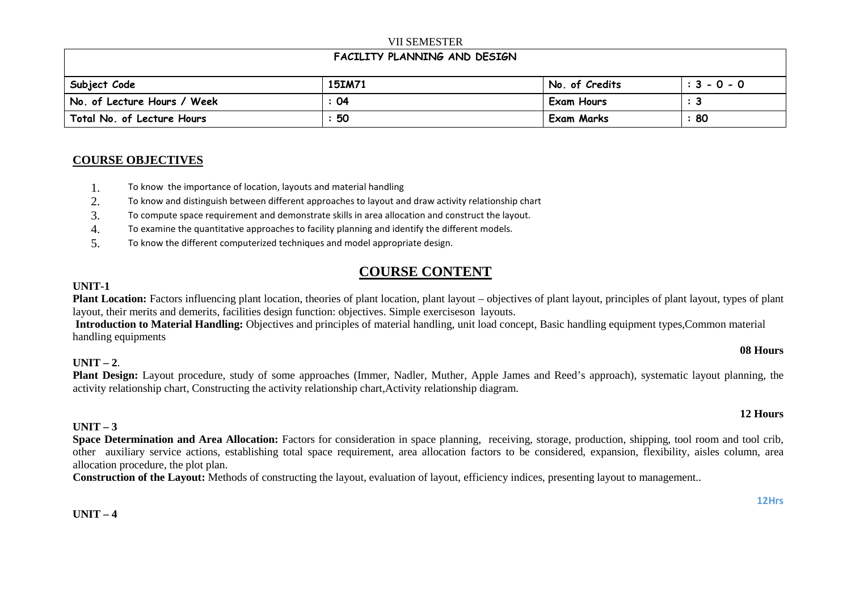### VII SEMESTER

## **FACILITY PLANNING AND DESIGN**

| Subject Code                | 15IM71 | No. of Credits    | $: 3 - 0 - 0$ |
|-----------------------------|--------|-------------------|---------------|
| No. of Lecture Hours / Week | : 04   | Exam Hours        |               |
| Total No. of Lecture Hours  | : 50   | <b>Exam Marks</b> | : 80          |

### **COURSE OBJECTIVES**

- 1.To know the importance of location, layouts and material handling
- 2.To know and distinguish between different approaches to layout and draw activity relationship chart
- 3.To compute space requirement and demonstrate skills in area allocation and construct the layout.
- 4.To examine the quantitative approaches to facility planning and identify the different models.
- 5.To know the different computerized techniques and model appropriate design.

# **COURSE CONTENT**

### **UNIT-1**

**Plant Location:** Factors influencing plant location, theories of plant location, plant layout – objectives of plant layout, principles of plant layout, types of plant layout, their merits and demerits, facilities design function: objectives. Simple exerciseson layouts.

  **Introduction to Material Handling:** Objectives and principles of material handling, unit load concept, Basic handling equipment types,Common material handling equipments

# **UNIT – <sup>2</sup>**.

**Plant Design:** Layout procedure, study of some approaches (Immer, Nadler, Muther, Apple James and Reed's approach), systematic layout planning, the activity relationship chart, Constructing the activity relationship chart,Activity relationship diagram.

### **UNIT – 3**

 **Space Determination and Area Allocation:** Factors for consideration in space planning, receiving, storage, production, shipping, tool room and tool crib, other auxiliary service actions, establishing total space requirement, area allocation factors to be considered, expansion, flexibility, aisles column, area allocation procedure, the plot plan.

**Construction of the Layout:** Methods of constructing the layout, evaluation of layout, efficiency indices, presenting layout to management..

### **UNIT – 4**

### **12 Hours**

**08 Hours**

#### **12Hrs**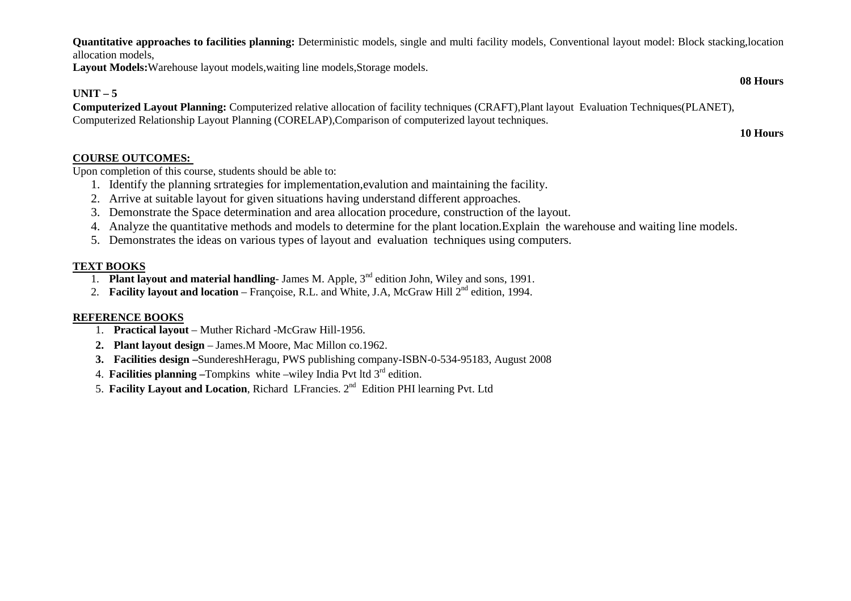**Quantitative approaches to facilities planning:** Deterministic models, single and multi facility models, Conventional layout model: Block stacking,location allocation models,

Layout Models: Warehouse layout models, waiting line models, Storage models.

# **UNIT – 5**

 **Computerized Layout Planning:** Computerized relative allocation of facility techniques (CRAFT),Plant layout Evaluation Techniques(PLANET), Computerized Relationship Layout Planning (CORELAP),Comparison of computerized layout techniques.

**10 Hours**

**08 Hours**

## **COURSE OUTCOMES:**

Upon completion of this course, students should be able to:

- 1. Identify the planning srtrategies for implementation,evalution and maintaining the facility.
- 2. Arrive at suitable layout for given situations having understand different approaches.
- 3. Demonstrate the Space determination and area allocation procedure, construction of the layout.
- 4. Analyze the quantitative methods and models to determine for the plant location.Explain the warehouse and waiting line models.
- 5. Demonstrates the ideas on various types of layout and evaluation techniques using computers.

### **TEXT BOOKS**

- 1. **Plant layout and material handling** James M. Apple, 3nd edition John, Wiley and sons, 1991.
- 2. **Facility layout and location** Françoise, R.L. and White, J.A, McGraw Hill 2<sup>nd</sup> edition, 1994.

### **REFERENCE BOOKS**

- 1. **Practical layout** Muther Richard -McGraw Hill-1956.
- **2. Plant layout design** James.M Moore, Mac Millon co.1962.
- **3. Facilities design –**SundereshHeragu, PWS publishing company-ISBN-0-534-95183, August 2008
- 4. **Facilities planning –**Tompkins white –wiley India Pvt ltd 3rd edition.
- 5. **Facility Layout and Location**, Richard LFrancies. 2nd Edition PHI learning Pvt. Ltd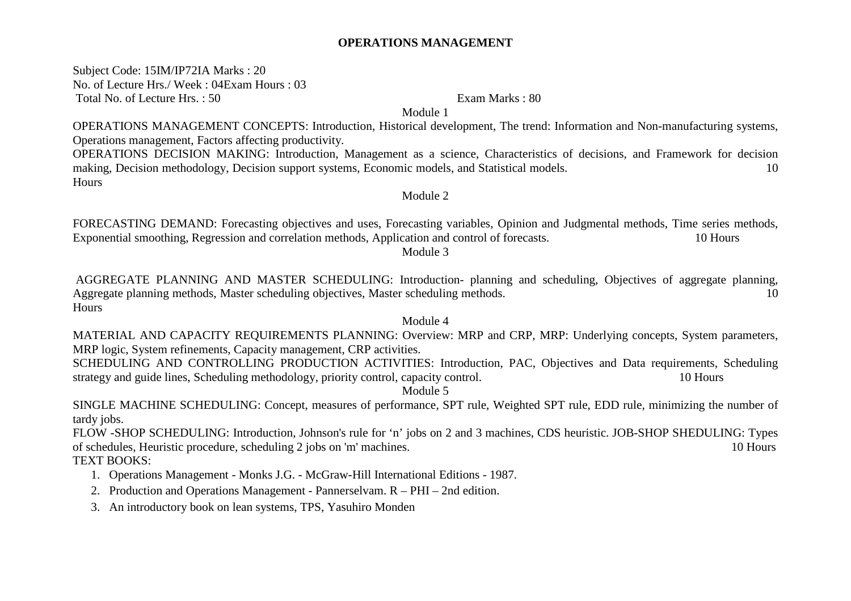## **OPERATIONS MANAGEMENT**

Subject Code: 15IM/IP72IA Marks : 20 No. of Lecture Hrs./ Week : 04Exam Hours : 03 Total No. of Lecture Hrs.: 50 Exam Marks : 80

Module 1

OPERATIONS MANAGEMENT CONCEPTS: Introduction, Historical development, The trend: Information and Non-manufacturing systems, Operations management, Factors affecting productivity.

 OPERATIONS DECISION MAKING: Introduction, Management as a science, Characteristics of decisions, and Framework for decision making, Decision methodology, Decision support systems, Economic models, and Statistical models. 10 Hours

### Module 2

FORECASTING DEMAND: Forecasting objectives and uses, Forecasting variables, Opinion and Judgmental methods, Time series methods, Exponential smoothing, Regression and correlation methods, Application and control of forecasts. 10 Hours Module 3

 AGGREGATE PLANNING AND MASTER SCHEDULING: Introduction- planning and scheduling, Objectives of aggregate planning, Aggregate planning methods, Master scheduling objectives, Master scheduling methods. 10 Hours

### Module 4

 MATERIAL AND CAPACITY REQUIREMENTS PLANNING: Overview: MRP and CRP, MRP: Underlying concepts, System parameters, MRP logic, System refinements, Capacity management, CRP activities.

 SCHEDULING AND CONTROLLING PRODUCTION ACTIVITIES: Introduction, PAC, Objectives and Data requirements, Scheduling strategy and guide lines, Scheduling methodology, priority control, capacity control. 10 Hours

Module 5

 SINGLE MACHINE SCHEDULING: Concept, measures of performance, SPT rule, Weighted SPT rule, EDD rule, minimizing the number of tardy jobs.

 FLOW -SHOP SCHEDULING: Introduction, Johnson's rule for 'n' jobs on 2 and 3 machines, CDS heuristic. JOB-SHOP SHEDULING: Types of schedules, Heuristic procedure, scheduling 2 jobs on 'm' machines. 10 Hours TEXT BOOKS:

- 1. Operations Management Monks J.G. McGraw-Hill International Editions 1987.
- 2. Production and Operations Management Pannerselvam. R PHI 2nd edition.
- 3. An introductory book on lean systems, TPS, Yasuhiro Monden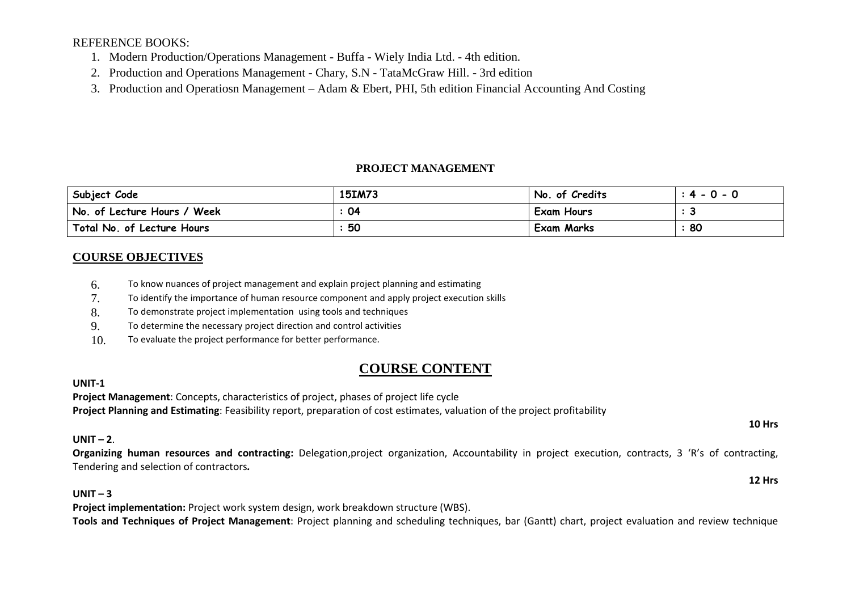REFERENCE BOOKS:

- 1. Modern Production/Operations Management Buffa Wiely India Ltd. 4th edition.
- 2. Production and Operations Management Chary, S.N TataMcGraw Hill. 3rd edition
- 3. Production and Operatiosn Management Adam & Ebert, PHI, 5th edition Financial Accounting And Costing

# **PROJECT MANAGEMENT**

| Subject Code                | <b>15IM73</b> | No. of Credits    | $: 4 - 0 - 0$ |
|-----------------------------|---------------|-------------------|---------------|
| No. of Lecture Hours / Week | 04            | Exam Hours        |               |
| Total No. of Lecture Hours  | 50            | <b>Exam Marks</b> | 80            |

# **COURSE OBJECTIVES**

- 6.To know nuances of project management and explain project planning and estimating
- 7.To identify the importance of human resource component and apply project execution skills
- 8.To demonstrate project implementation using tools and techniques
- 9.To determine the necessary project direction and control activities
- 10.To evaluate the project performance for better performance.

# **COURSE CONTENT**

# **UNIT-1**

 **Project Management**: Concepts, characteristics of project, phases of project life cycle**Project Planning and Estimating**: Feasibility report, preparation of cost estimates, valuation of the project profitability

# **UNIT – <sup>2</sup>**.

**Organizing human resources and contracting:** Delegation,project organization, Accountability in project execution, contracts, 3 'R's of contracting, Tendering and selection of contractors*.*

# **UNIT – <sup>3</sup>**

 **Project implementation:** Project work system design, work breakdown structure (WBS). **Tools and Techniques of Project Management**: Project planning and scheduling techniques, bar (Gantt) chart, project evaluation and review technique

### **10 Hrs**

**12 Hrs**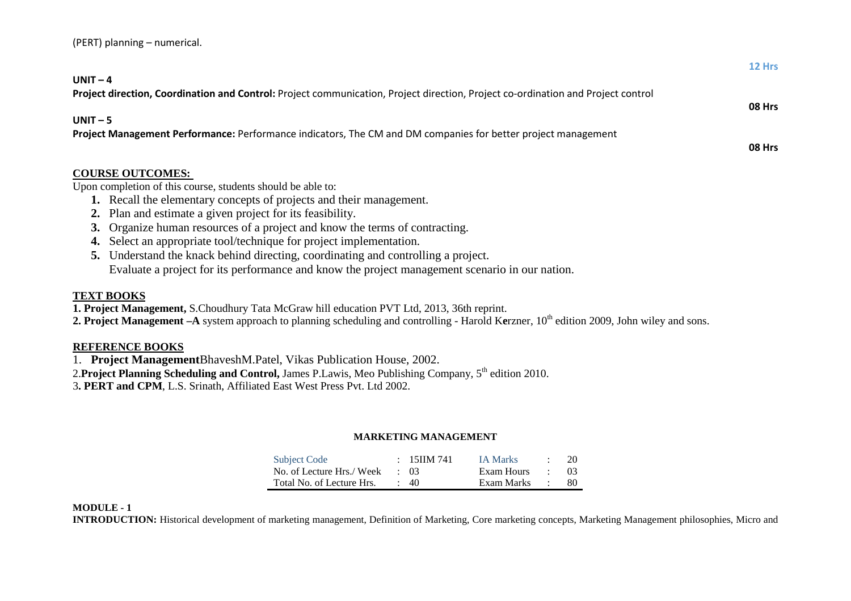| (PERT) planning - numerical. |  |
|------------------------------|--|
|------------------------------|--|

|                                                                                                                                               | 12 Hrs |
|-----------------------------------------------------------------------------------------------------------------------------------------------|--------|
| UNIT $-4$<br>Project direction, Coordination and Control: Project communication, Project direction, Project co-ordination and Project control |        |
| $UNIT - 5$                                                                                                                                    | 08 Hrs |
| Project Management Performance: Performance indicators, The CM and DM companies for better project management                                 | 08 Hrs |
| <b>COURSE OUTCOMES:</b>                                                                                                                       |        |
| Upon completion of this course, students should be able to:                                                                                   |        |
| 1. Recall the elementary concepts of projects and their management.                                                                           |        |
| 2. Plan and estimate a given project for its feasibility.                                                                                     |        |
| Organize human resources of a project and know the terms of contracting.<br>3.                                                                |        |
| Select an appropriate tool/technique for project implementation.<br>4.                                                                        |        |
| Understand the knack behind directing, coordinating and controlling a project.<br>5.                                                          |        |
| Evaluate a project for its performance and know the project management scenario in our nation.                                                |        |
|                                                                                                                                               |        |

# **TEXT BOOKS**

**1. Project Management,** S.Choudhury Tata McGraw hill education PVT Ltd, 2013, 36th reprint.

**2. Project Management –A** system approach to planning scheduling and controlling - Harold Kerzner, 10<sup>th</sup> edition 2009, John wiley and sons.

### **REFERENCE BOOKS**

1. **Project Management**BhaveshM.Patel, Vikas Publication House, 2002.

2.**Project Planning Scheduling and Control,** James P.Lawis, Meo Publishing Company, 5<sup>th</sup> edition 2010.

3**. PERT and CPM**, L.S. Srinath, Affiliated East West Press Pvt. Ltd 2002.

### **MARKETING MANAGEMENT**

| <b>Subject Code</b>       | $: 15$ IIM 741 | <b>IA Marks</b> | $\cdot$ | 20  |
|---------------------------|----------------|-----------------|---------|-----|
| No. of Lecture Hrs./ Week | $\cdot$ 03     | Exam Hours      |         | -03 |
| Total No. of Lecture Hrs. | $\cdot$ 40     | Exam Marks      |         | -80 |

### **MODULE - 1**

**INTRODUCTION:** Historical development of marketing management, Definition of Marketing, Core marketing concepts, Marketing Management philosophies, Micro and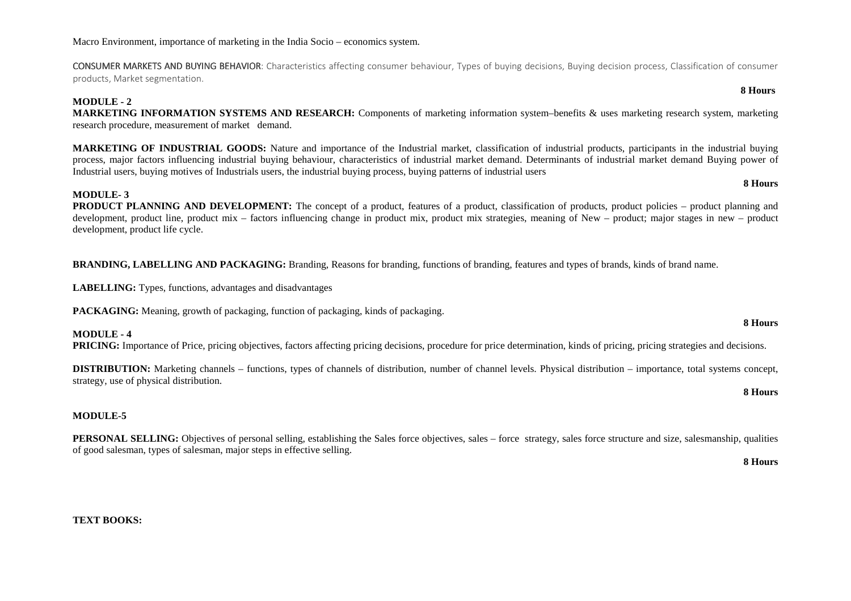Macro Environment, importance of marketing in the India Socio – economics system.

CONSUMER MARKETS AND BUYING BEHAVIOR: Characteristics affecting consumer behaviour, Types of buying decisions, Buying decision process, Classification of consumer products, Market segmentation.

#### **MODULE - 2**

 **MARKETING INFORMATION SYSTEMS AND RESEARCH:** Components of marketing information system–benefits & uses marketing research system, marketing research procedure, measurement of market demand.

**MARKETING OF INDUSTRIAL GOODS:** Nature and importance of the Industrial market, classification of industrial products, participants in the industrial buying process, major factors influencing industrial buying behaviour, characteristics of industrial market demand. Determinants of industrial market demand Buying power of Industrial users, buying motives of Industrials users, the industrial buying process, buying patterns of industrial users

#### **MODULE- 3**

 **PRODUCT PLANNING AND DEVELOPMENT:** The concept of a product, features of a product, classification of products, product policies – product planning and development, product line, product mix – factors influencing change in product mix, product mix strategies, meaning of New – product; major stages in new – product development, product life cycle.

**BRANDING, LABELLING AND PACKAGING:** Branding, Reasons for branding, functions of branding, features and types of brands, kinds of brand name.

**LABELLING:** Types, functions, advantages and disadvantages

**PACKAGING:** Meaning, growth of packaging, function of packaging, kinds of packaging.

**MODULE - 4 PRICING:** Importance of Price, pricing objectives, factors affecting pricing decisions, procedure for price determination, kinds of pricing, pricing strategies and decisions.

**DISTRIBUTION:** Marketing channels – functions, types of channels of distribution, number of channel levels. Physical distribution – importance, total systems concept, strategy, use of physical distribution.

#### **MODULE-5**

**PERSONAL SELLING:** Objectives of personal selling, establishing the Sales force objectives, sales – force strategy, sales force structure and size, salesmanship, qualities of good salesman, types of salesman, major steps in effective selling.

**8 Hours**

**8 Hours** 

**TEXT BOOKS:** 

**8 Hours** 

 **8 Hours**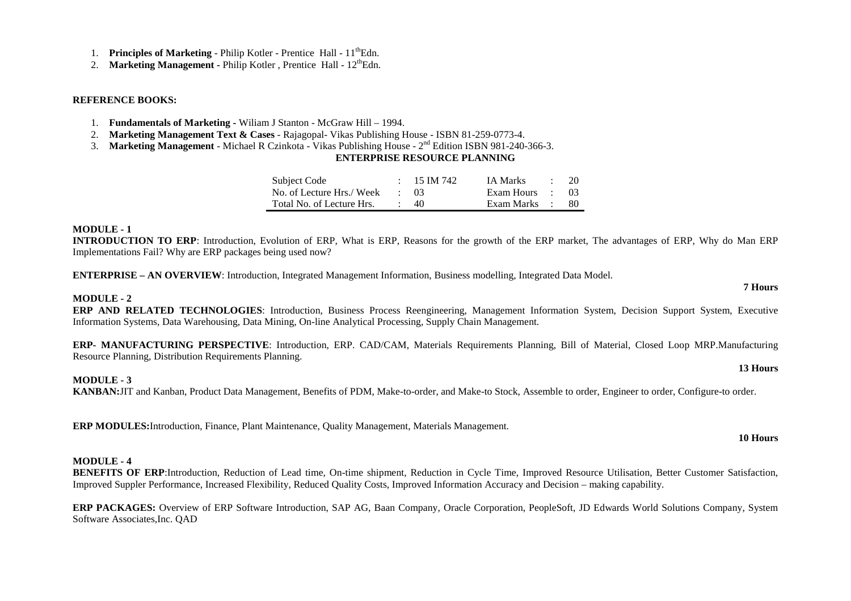- 1. **Principles of Marketing** Philip Kotler Prentice Hall 11<sup>th</sup>Edn.
- 2. **Marketing Management Philip Kotler, Prentice Hall 12<sup>th</sup>Edn.**

#### **REFERENCE BOOKS:**

- 1. **Fundamentals of Marketing** Wiliam J Stanton McGraw Hill 1994.
- 2. **Marketing Management Text & Cases** Rajagopal- Vikas Publishing House ISBN 81-259-0773-4.
- 3. **Marketing Management** Michael R Czinkota Vikas Publishing House 2nd Edition ISBN 981-240-366-3.

### **ENTERPRISE RESOURCE PLANNING**

| Subject Code              | $: 15 \text{ IM } 742$ | IA Marks        | $\therefore$ 20 |      |
|---------------------------|------------------------|-----------------|-----------------|------|
| No. of Lecture Hrs./ Week | $\cdot$ 03             | Exam Hours : 03 |                 |      |
| Total No. of Lecture Hrs. | $\cdot$ 40             | Exam Marks :    |                 | - 80 |

#### **MODULE - 1**

 **INTRODUCTION TO ERP**: Introduction, Evolution of ERP, What is ERP, Reasons for the growth of the ERP market, The advantages of ERP, Why do Man ERP Implementations Fail? Why are ERP packages being used now?

**ENTERPRISE – AN OVERVIEW**: Introduction, Integrated Management Information, Business modelling, Integrated Data Model.

### **MODULE - 2**

 **ERP AND RELATED TECHNOLOGIES**: Introduction, Business Process Reengineering, Management Information System, Decision Support System, Executive Information Systems, Data Warehousing, Data Mining, On-line Analytical Processing, Supply Chain Management.

**ERP- MANUFACTURING PERSPECTIVE**: Introduction, ERP. CAD/CAM, Materials Requirements Planning, Bill of Material, Closed Loop MRP.Manufacturing Resource Planning, Distribution Requirements Planning.

#### **MODULE - 3**

**KANBAN:**JIT and Kanban, Product Data Management, Benefits of PDM, Make-to-order, and Make-to Stock, Assemble to order, Engineer to order, Configure-to order.

**ERP MODULES:**Introduction, Finance, Plant Maintenance, Quality Management, Materials Management.

#### **MODULE - 4**

 **BENEFITS OF ERP**:Introduction, Reduction of Lead time, On-time shipment, Reduction in Cycle Time, Improved Resource Utilisation, Better Customer Satisfaction, Improved Suppler Performance, Increased Flexibility, Reduced Quality Costs, Improved Information Accuracy and Decision – making capability.

**ERP PACKAGES:** Overview of ERP Software Introduction, SAP AG, Baan Company, Oracle Corporation, PeopleSoft, JD Edwards World Solutions Company, System Software Associates,Inc. QAD

#### **10 Hours**

**13 Hours**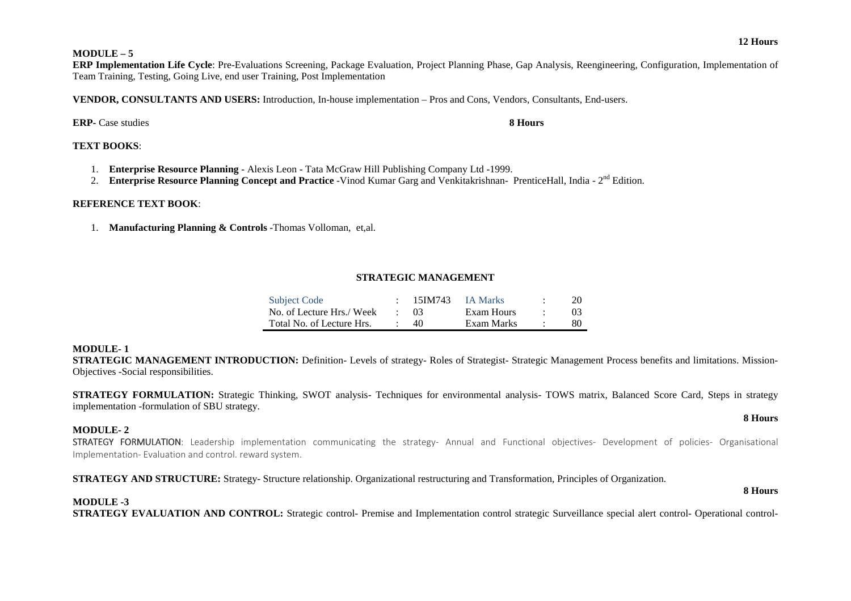#### **MODULE – 5**

 **ERP Implementation Life Cycle**: Pre-Evaluations Screening, Package Evaluation, Project Planning Phase, Gap Analysis, Reengineering, Configuration, Implementation of Team Training, Testing, Going Live, end user Training, Post Implementation

**VENDOR, CONSULTANTS AND USERS:** Introduction, In-house implementation – Pros and Cons, Vendors, Consultants, End-users.

### **ERP-** Case studies **8 Hours**

### **TEXT BOOKS**:

- 1. **Enterprise Resource Planning** Alexis Leon Tata McGraw Hill Publishing Company Ltd -1999.
- 2. **Enterprise Resource Planning Concept and Practice** -Vinod Kumar Garg and Venkitakrishnan- PrenticeHall, India 2<sup>nd</sup> Edition.

### **REFERENCE TEXT BOOK**:

1. **Manufacturing Planning & Controls** -Thomas Volloman, et,al.

### **STRATEGIC MANAGEMENT**

| <b>Subject Code</b>       | 15IM743    | <b>IA Marks</b> | 20             |
|---------------------------|------------|-----------------|----------------|
| No. of Lecture Hrs./ Week | $\cdot$ 03 | Exam Hours      | 0 <sup>3</sup> |
| Total No. of Lecture Hrs. | 40         | Exam Marks      | 80             |

### **MODULE- 1**

 **STRATEGIC MANAGEMENT INTRODUCTION:** Definition- Levels of strategy- Roles of Strategist- Strategic Management Process benefits and limitations. Mission-Objectives -Social responsibilities.

**STRATEGY FORMULATION:** Strategic Thinking, SWOT analysis- Techniques for environmental analysis- TOWS matrix, Balanced Score Card, Steps in strategy implementation -formulation of SBU strategy.

### **MODULE- 2**

STRATEGY FORMULATION: Leadership implementation communicating the strategy- Annual and Functional objectives- Development of policies- Organisational<br>Inclusiontation Englastics and castral courant orders Implementation- Evaluation and control. reward system.

**STRATEGY AND STRUCTURE:** Strategy- Structure relationship. Organizational restructuring and Transformation, Principles of Organization.

### **MODULE -3**

**STRATEGY EVALUATION AND CONTROL:** Strategic control- Premise and Implementation control strategic Surveillance special alert control- Operational control-

#### **8 Hours**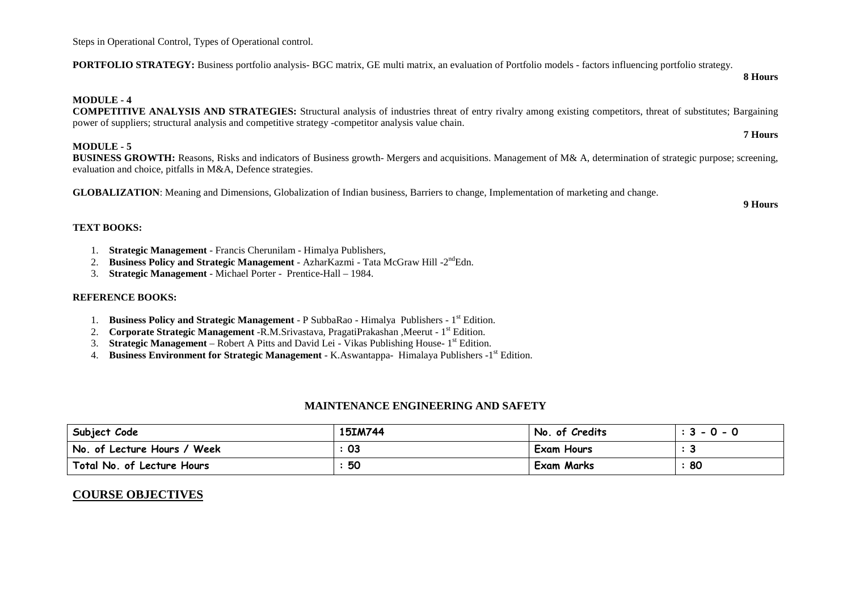Steps in Operational Control, Types of Operational control.

**PORTFOLIO STRATEGY:** Business portfolio analysis- BGC matrix, GE multi matrix, an evaluation of Portfolio models - factors influencing portfolio strategy.

#### **MODULE - 4**

 **COMPETITIVE ANALYSIS AND STRATEGIES:** Structural analysis of industries threat of entry rivalry among existing competitors, threat of substitutes; Bargaining power of suppliers; structural analysis and competitive strategy -competitor analysis value chain.

#### **MODULE - 5**

 **BUSINESS GROWTH:** Reasons, Risks and indicators of Business growth- Mergers and acquisitions. Management of M& A, determination of strategic purpose; screening, evaluation and choice, pitfalls in M&A, Defence strategies.

**GLOBALIZATION**: Meaning and Dimensions, Globalization of Indian business, Barriers to change, Implementation of marketing and change.

**9 Hours**

#### **TEXT BOOKS:**

- 1. **Strategic Management** Francis Cherunilam Himalya Publishers,
- 2.**Business Policy and Strategic Management** - AzharKazmi - Tata McGraw Hill -2<sup>nd</sup>Edn.
- 3.**Strategic Management** - Michael Porter - Prentice-Hall – 1984.

### **REFERENCE BOOKS:**

- 1. **Business Policy and Strategic Management** P SubbaRao Himalya Publishers 1<sup>st</sup> Edition.
- 2.**Corporate Strategic Management** -R.M.Srivastava, PragatiPrakashan ,Meerut - 1<sup>st</sup> Edition.
- 3.**Strategic Management** – Robert A Pitts and David Lei - Vikas Publishing House-1<sup>st</sup> Edition.
- **Business Environment for Strategic Management** K.Aswantappa- Himalaya Publishers -1<sup>st</sup> Edition. 4.

### **MAINTENANCE ENGINEERING AND SAFETY**

| Subject Code                | 15IM744 | No. of Credits    | $: 3 - 0 - 0$ |
|-----------------------------|---------|-------------------|---------------|
| No. of Lecture Hours / Week | 03      | <b>Exam Hours</b> |               |
| Total No. of Lecture Hours  | 50      | <b>Exam Marks</b> | 80            |

### **COURSE OBJECTIVES**

**7 Hours**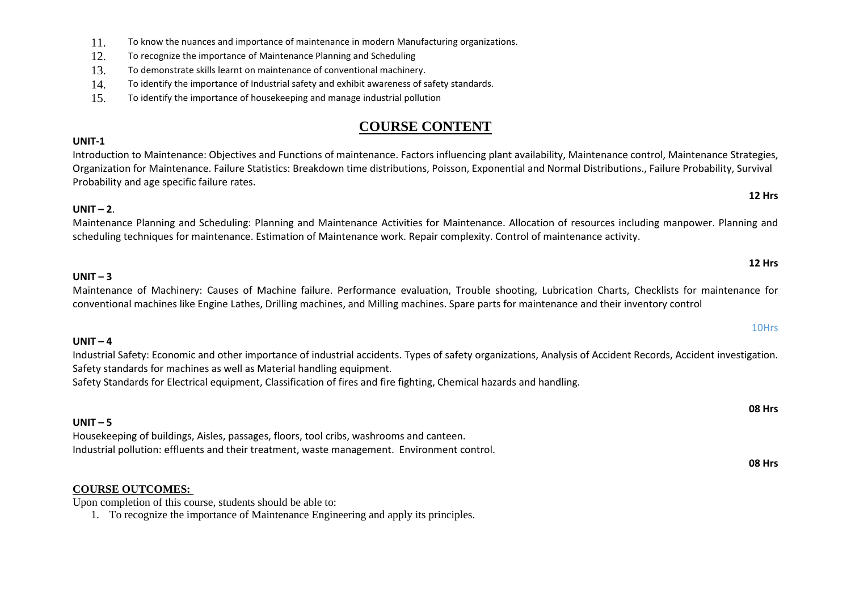- 11.To know the nuances and importance of maintenance in modern Manufacturing organizations.
- 12.To recognize the importance of Maintenance Planning and Scheduling
- 13.To demonstrate skills learnt on maintenance of conventional machinery.
- 14.To identify the importance of Industrial safety and exhibit awareness of safety standards.
- 15.To identify the importance of housekeeping and manage industrial pollution

# **COURSE CONTENT**

### **UNIT-1**

 Introduction to Maintenance: Objectives and Functions of maintenance. Factors influencing plant availability, Maintenance control, Maintenance Strategies, Organization for Maintenance. Failure Statistics: Breakdown time distributions, Poisson, Exponential and Normal Distributions., Failure Probability, Survival Probability and age specific failure rates.

# **UNIT – <sup>2</sup>**.

Maintenance Planning and Scheduling: Planning and Maintenance Activities for Maintenance. Allocation of resources including manpower. Planning and scheduling techniques for maintenance. Estimation of Maintenance work. Repair complexity. Control of maintenance activity.

| 12 Hrs                                                                                                                                                                                                                                                                                                                                                                       |  |
|------------------------------------------------------------------------------------------------------------------------------------------------------------------------------------------------------------------------------------------------------------------------------------------------------------------------------------------------------------------------------|--|
| $UNIT - 3$<br>Maintenance of Machinery: Causes of Machine failure. Performance evaluation, Trouble shooting, Lubrication Charts, Checklists for maintenance for<br>conventional machines like Engine Lathes, Drilling machines, and Milling machines. Spare parts for maintenance and their inventory control                                                                |  |
| 10Hrs                                                                                                                                                                                                                                                                                                                                                                        |  |
| UNIT $-4$<br>Industrial Safety: Economic and other importance of industrial accidents. Types of safety organizations, Analysis of Accident Records, Accident investigation.<br>Safety standards for machines as well as Material handling equipment.<br>Safety Standards for Electrical equipment, Classification of fires and fire fighting, Chemical hazards and handling. |  |
| <b>08 Hrs</b>                                                                                                                                                                                                                                                                                                                                                                |  |
| $UNIT - 5$<br>Housekeeping of buildings, Aisles, passages, floors, tool cribs, washrooms and canteen.<br>Industrial pollution: effluents and their treatment, waste management. Environment control.<br><b>OQ</b> Urc                                                                                                                                                        |  |

### **COURSE OUTCOMES:**

Upon completion of this course, students should be able to:

1. To recognize the importance of Maintenance Engineering and apply its principles.

**08 Hrs**

**12 Hrs**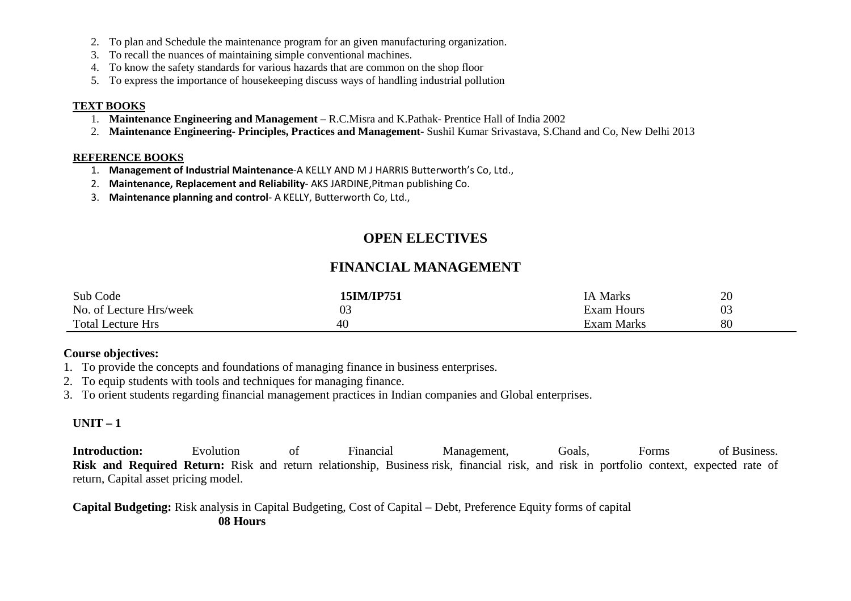- 2. To plan and Schedule the maintenance program for an given manufacturing organization.
- 3. To recall the nuances of maintaining simple conventional machines.
- 4. To know the safety standards for various hazards that are common on the shop floor
- 5. To express the importance of housekeeping discuss ways of handling industrial pollution

### **TEXT BOOKS**

- 1. **Maintenance Engineering and Management** R.C.Misra and K.Pathak- Prentice Hall of India 2002
- 2. **Maintenance Engineering- Principles, Practices and Management** Sushil Kumar Srivastava, S.Chand and Co, New Delhi 2013

## **REFERENCE BOOKS**

- 1. **Management of Industrial Maintenance**-A KELLY AND M J HARRIS Butterworth's Co, Ltd.,
- 2. **Maintenance, Replacement and Reliability** AKS JARDINE,Pitman publishing Co.
- 3. **Maintenance planning and control** A KELLY, Butterworth Co, Ltd.,

# **OPEN ELECTIVES**

# **FINANCIAL MANAGEMENT**

| Sub Code                 | 15IM/IP751 | <b>IA Marks</b>   | 20 |
|--------------------------|------------|-------------------|----|
| No. of Lecture Hrs/week  | U3         | <b>Exam Hours</b> | 03 |
| <b>Total Lecture Hrs</b> | 40         | Exam Marks        | 80 |

# **Course objectives:**

- 1. To provide the concepts and foundations of managing finance in business enterprises.
- 2. To equip students with tools and techniques for managing finance.
- 3. To orient students regarding financial management practices in Indian companies and Global enterprises.

# **UNIT – 1**

**Introduction:** Evolution of Financial Management, Goals, Forms of Business. **Risk and Required Return:** Risk and return relationship, Business risk, financial risk, and risk in portfolio context, expected rate of return, Capital asset pricing model.

**Capital Budgeting:** Risk analysis in Capital Budgeting, Cost of Capital – Debt, Preference Equity forms of capital **08 Hours**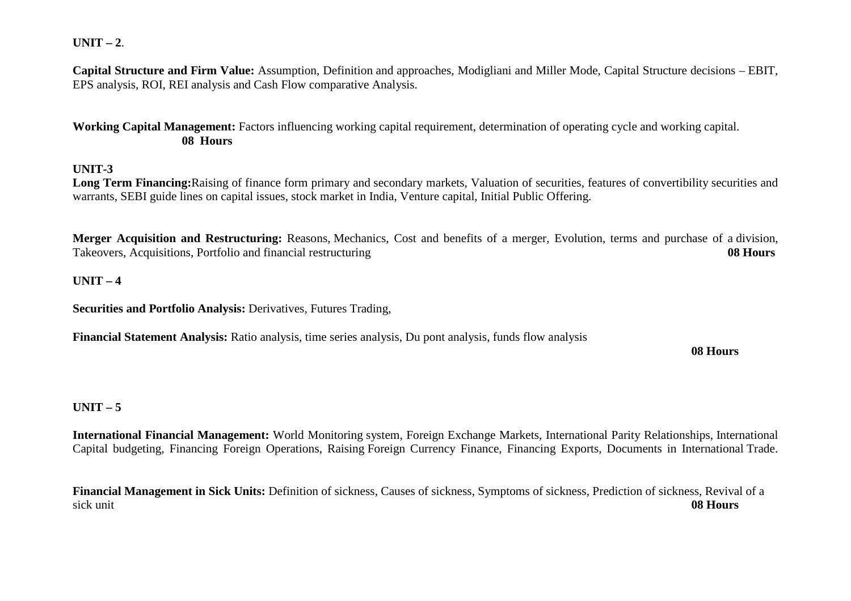# **UNIT – 2**.

**Capital Structure and Firm Value:** Assumption, Definition and approaches, Modigliani and Miller Mode, Capital Structure decisions – EBIT, EPS analysis, ROI, REI analysis and Cash Flow comparative Analysis.

**Working Capital Management:** Factors influencing working capital requirement, determination of operating cycle and working capital. **08 Hours**

## **UNIT-3**

 **Long Term Financing:**Raising of finance form primary and secondary markets, Valuation of securities, features of convertibility securities and warrants, SEBI guide lines on capital issues, stock market in India, Venture capital, Initial Public Offering.

**Merger Acquisition and Restructuring:** Reasons, Mechanics, Cost and benefits of a merger, Evolution, terms and purchase of a division, Takeovers, Acquisitions, Portfolio and financial restructuring **08 Hours**

## **UNIT – 4**

**Securities and Portfolio Analysis:** Derivatives, Futures Trading,

**Financial Statement Analysis:** Ratio analysis, time series analysis, Du pont analysis, funds flow analysis

**08 Hours**

# **UNIT – 5**

**International Financial Management:** World Monitoring system, Foreign Exchange Markets, International Parity Relationships, International Capital budgeting, Financing Foreign Operations, Raising Foreign Currency Finance, Financing Exports, Documents in International Trade.

**Financial Management in Sick Units:** Definition of sickness, Causes of sickness, Symptoms of sickness, Prediction of sickness, Revival of a sick unit **08 Hours**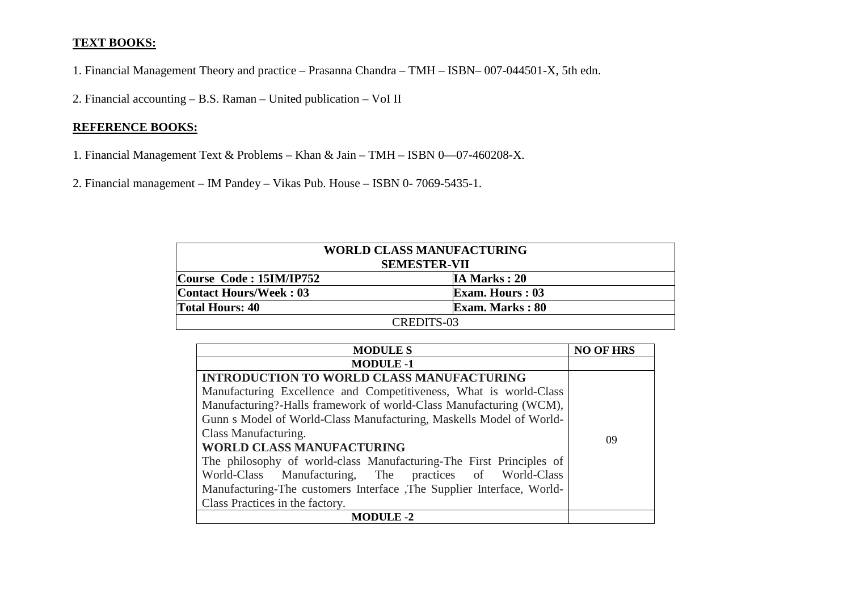# **TEXT BOOKS:**

1. Financial Management Theory and practice – Prasanna Chandra – TMH – ISBN– 007-044501-X, 5th edn.

2. Financial accounting – B.S. Raman – United publication – VoI II

# **REFERENCE BOOKS:**

- 1. Financial Management Text & Problems Khan & Jain TMH ISBN 0—07-460208-X.
- 2. Financial management IM Pandey Vikas Pub. House ISBN 0- 7069-5435-1.

| <b>WORLD CLASS MANUFACTURING</b><br><b>SEMESTER-VII</b> |                        |  |  |  |
|---------------------------------------------------------|------------------------|--|--|--|
| Course Code: 15IM/IP752                                 | IA Marks: 20           |  |  |  |
| Contact Hours/Week: 03                                  | <b>Exam. Hours: 03</b> |  |  |  |
| <b>Total Hours: 40</b>                                  | <b>Exam. Marks: 80</b> |  |  |  |
| CREDITS-03                                              |                        |  |  |  |

| <b>MODULES</b>                                                         | <b>NO OF HRS</b> |
|------------------------------------------------------------------------|------------------|
| <b>MODULE -1</b>                                                       |                  |
| <b>INTRODUCTION TO WORLD CLASS MANUFACTURING</b>                       |                  |
| Manufacturing Excellence and Competitiveness, What is world-Class      |                  |
| Manufacturing?-Halls framework of world-Class Manufacturing (WCM),     |                  |
| Gunn s Model of World-Class Manufacturing, Maskells Model of World-    |                  |
| Class Manufacturing.                                                   |                  |
| <b>WORLD CLASS MANUFACTURING</b>                                       | 09               |
| The philosophy of world-class Manufacturing-The First Principles of    |                  |
| World-Class Manufacturing, The practices of World-Class                |                  |
| Manufacturing-The customers Interface , The Supplier Interface, World- |                  |
| Class Practices in the factory.                                        |                  |
| <b>MODULE -2</b>                                                       |                  |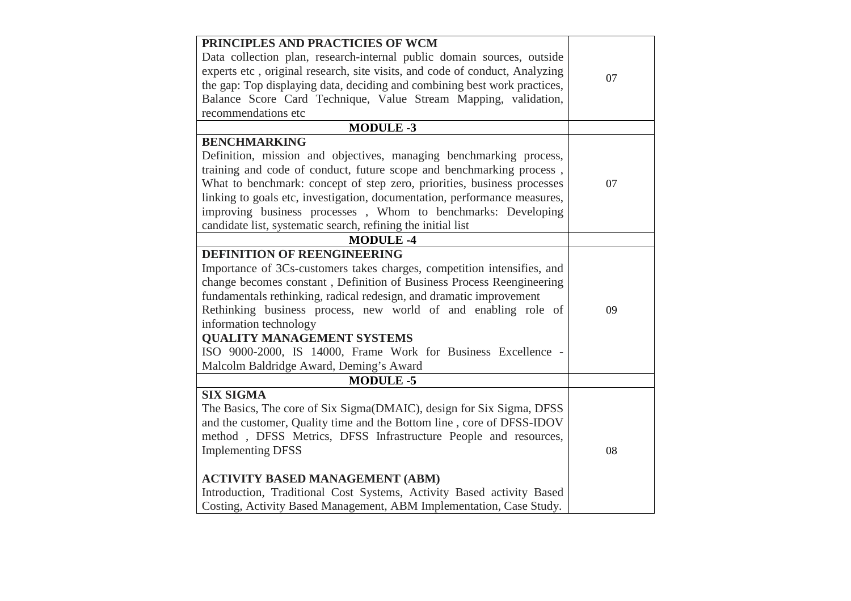| PRINCIPLES AND PRACTICIES OF WCM                                            |    |
|-----------------------------------------------------------------------------|----|
| Data collection plan, research-internal public domain sources, outside      |    |
| experts etc, original research, site visits, and code of conduct, Analyzing | 07 |
| the gap: Top displaying data, deciding and combining best work practices,   |    |
| Balance Score Card Technique, Value Stream Mapping, validation,             |    |
| recommendations etc                                                         |    |
| <b>MODULE-3</b>                                                             |    |
| <b>BENCHMARKING</b>                                                         |    |
| Definition, mission and objectives, managing benchmarking process,          |    |
| training and code of conduct, future scope and benchmarking process,        |    |
| What to benchmark: concept of step zero, priorities, business processes     | 07 |
| linking to goals etc, investigation, documentation, performance measures,   |    |
| improving business processes, Whom to benchmarks: Developing                |    |
| candidate list, systematic search, refining the initial list                |    |
| <b>MODULE-4</b>                                                             |    |
| <b>DEFINITION OF REENGINEERING</b>                                          |    |
| Importance of 3Cs-customers takes charges, competition intensifies, and     |    |
| change becomes constant, Definition of Business Process Reengineering       |    |
| fundamentals rethinking, radical redesign, and dramatic improvement         |    |
| Rethinking business process, new world of and enabling role of              | 09 |
| information technology                                                      |    |
| <b>QUALITY MANAGEMENT SYSTEMS</b>                                           |    |
| ISO 9000-2000, IS 14000, Frame Work for Business Excellence -               |    |
| Malcolm Baldridge Award, Deming's Award                                     |    |
| <b>MODULE-5</b>                                                             |    |
| <b>SIX SIGMA</b>                                                            |    |
| The Basics, The core of Six Sigma(DMAIC), design for Six Sigma, DFSS        |    |
| and the customer, Quality time and the Bottom line, core of DFSS-IDOV       |    |
| method, DFSS Metrics, DFSS Infrastructure People and resources,             |    |
| <b>Implementing DFSS</b>                                                    | 08 |
|                                                                             |    |
| <b>ACTIVITY BASED MANAGEMENT (ABM)</b>                                      |    |
| Introduction, Traditional Cost Systems, Activity Based activity Based       |    |
| Costing, Activity Based Management, ABM Implementation, Case Study.         |    |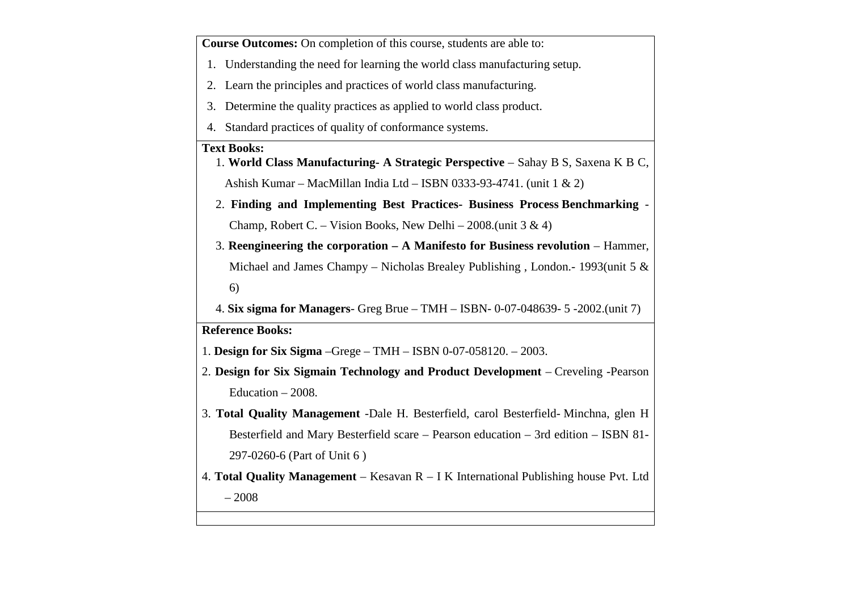**Course Outcomes:** On completion of this course, students are able to:

- 1. Understanding the need for learning the world class manufacturing setup.
- 2. Learn the principles and practices of world class manufacturing.
- 3. Determine the quality practices as applied to world class product.
- 4. Standard practices of quality of conformance systems.

### **Text Books:**

- 1. **World Class Manufacturing- A Strategic Perspective** Sahay B S, Saxena K B C, Ashish Kumar – MacMillan India Ltd – ISBN 0333-93-4741. (unit 1 & 2)
- 2. **Finding and Implementing Best Practices- Business Process Benchmarking** -Champ, Robert C. – Vision Books, New Delhi – 2008.(unit  $3 \& 4$ )
- 3. **Reengineering the corporation A Manifesto for Business revolution** Hammer, Michael and James Champy – Nicholas Brealey Publishing , London.- 1993(unit 5 & 6)
- 4. **Six sigma for Managers** Greg Brue TMH ISBN- 0-07-048639- 5 -2002.(unit 7)

## **Reference Books:**

- 1. **Design for Six Sigma** –Grege TMH ISBN 0-07-058120. 2003.
- 2. **Design for Six Sigmain Technology and Product Development** Creveling -Pearson Education – 2008.
- 3. **Total Quality Management** -Dale H. Besterfield, carol Besterfield- Minchna, glen H Besterfield and Mary Besterfield scare – Pearson education – 3rd edition – ISBN 81-297-0260-6 (Part of Unit 6 )
- 4. **Total Quality Management** Kesavan R I K International Publishing house Pvt. Ltd – 2008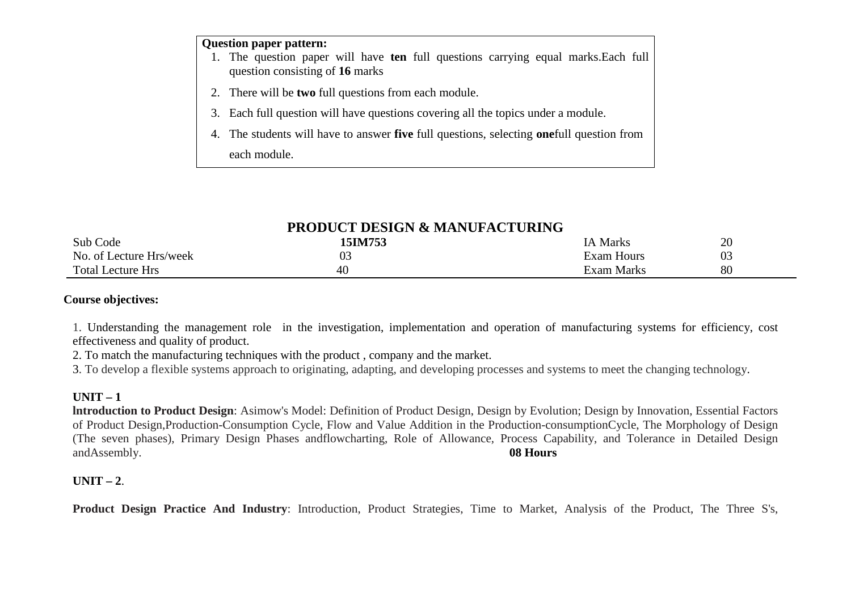# **Question paper pattern:**

- 1. The question paper will have **ten** full questions carrying equal marks.Each full question consisting of **16** marks
- 2. There will be **two** full questions from each module.
- 3. Each full question will have questions covering all the topics under a module.
- 4. The students will have to answer **five** full questions, selecting **one**full question from each module.

# **PRODUCT DESIGN & MANUFACTURING**

| Sub Code                 | <b>15IM753</b> | <b>IA Marks</b>   | 20                 |
|--------------------------|----------------|-------------------|--------------------|
| No. of Lecture Hrs/week  | 03             | <b>Exam Hours</b> | ∩∩<br>$U_{\sigma}$ |
| <b>Total Lecture Hrs</b> | 40             | Exam Marks        | 80                 |

### **Course objectives:**

1. Understanding the management role in the investigation, implementation and operation of manufacturing systems for efficiency, cost effectiveness and quality of product.

2. To match the manufacturing techniques with the product , company and the market.

3. To develop a flexible systems approach to originating, adapting, and developing processes and systems to meet the changing technology.

# **UNIT – 1**

 **lntroduction to Product Design**: Asimow's Model: Definition of Product Design, Design by Evolution; Design by Innovation, Essential Factors of Product Design,Production-Consumption Cycle, Flow and Value Addition in the Production-consumptionCycle, The Morphology of Design (The seven phases), Primary Design Phases andflowcharting, Role of Allowance, Process Capability, and Tolerance in Detailed Design andAssembly.**08 Hours**

# **UNIT – 2**.

**Product Design Practice And Industry**: Introduction, Product Strategies, Time to Market, Analysis of the Product, The Three S's,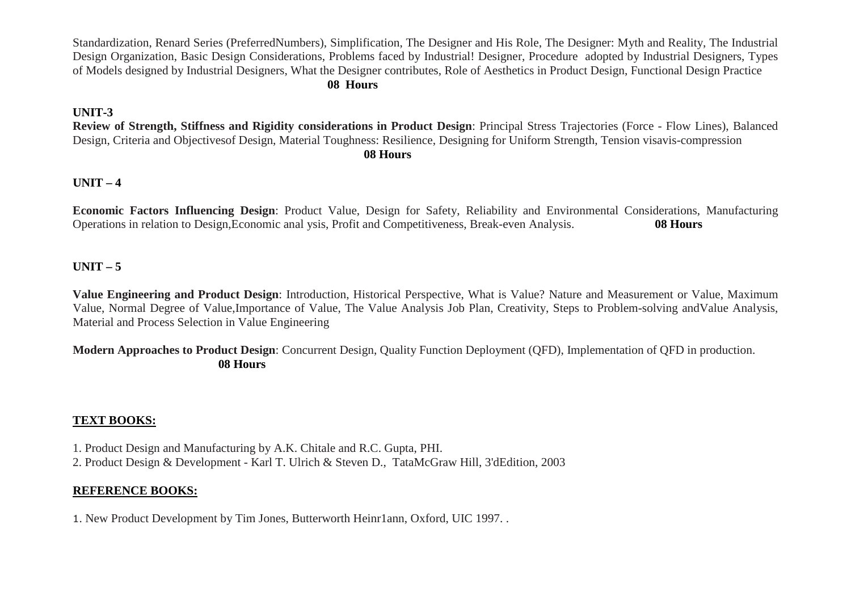Standardization, Renard Series (PreferredNumbers), Simplification, The Designer and His Role, The Designer: Myth and Reality, The Industrial Design Organization, Basic Design Considerations, Problems faced by Industrial! Designer, Procedure adopted by Industrial Designers, Types of Models designed by Industrial Designers, What the Designer contributes, Role of Aesthetics in Product Design, Functional Design Practice **08 Hours**

# **UNIT-3**

 **Review of Strength, Stiffness and Rigidity considerations in Product Design**: Principal Stress Trajectories (Force - Flow Lines), Balanced Design, Criteria and Objectivesof Design, Material Toughness: Resilience, Designing for Uniform Strength, Tension visavis-compression**08 Hours**

# **UNIT – 4**

**Economic Factors Influencing Design**: Product Value, Design for Safety, Reliability and Environmental Considerations, Manufacturing Operations in relation to Design,Economic anal ysis, Profit and Competitiveness, Break-even Analysis. **08 Hours**

# **UNIT – 5**

**Value Engineering and Product Design**: Introduction, Historical Perspective, What is Value? Nature and Measurement or Value, Maximum Value, Normal Degree of Value,Importance of Value, The Value Analysis Job Plan, Creativity, Steps to Problem-solving andValue Analysis, Material and Process Selection in Value Engineering

**Modern Approaches to Product Design**: Concurrent Design, Quality Function Deployment (QFD), Implementation of QFD in production. **08 Hours**

# **TEXT BOOKS:**

1. Product Design and Manufacturing by A.K. Chitale and R.C. Gupta, PHI.

2. Product Design & Development - Karl T. Ulrich & Steven D., TataMcGraw Hill, 3'dEdition, 2003

# **REFERENCE BOOKS:**

1. New Product Development by Tim Jones, Butterworth Heinr1ann, Oxford, UIC 1997. .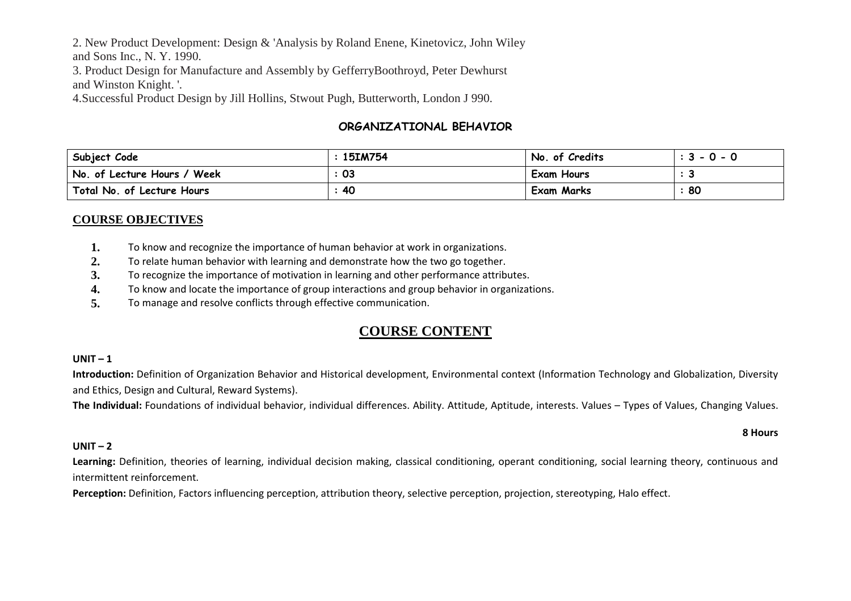2. New Product Development: Design & 'Analysis by Roland Enene, Kinetovicz, John Wiley

and Sons Inc., N. Y. 1990.

 3. Product Design for Manufacture and Assembly by GefferryBoothroyd, Peter Dewhurst and Winston Knight. '.

4.Successful Product Design by Jill Hollins, Stwout Pugh, Butterworth, London J 990.

# **ORGANIZATIONAL BEHAVIOR**

| Subject Code                | <b>15IM754</b> | No. of Credits | $: 3 - 0 - 0$ |
|-----------------------------|----------------|----------------|---------------|
| No. of Lecture Hours / Week | 03             | Exam Hours     |               |
| Total No. of Lecture Hours  | 40             | Exam Marks     | 80            |

# **COURSE OBJECTIVES**

- **1.**To know and recognize the importance of human behavior at work in organizations.
- **2.**To relate human behavior with learning and demonstrate how the two go together.
- **3.**To recognize the importance of motivation in learning and other performance attributes.
- **4.**To know and locate the importance of group interactions and group behavior in organizations.
- **5.**To manage and resolve conflicts through effective communication.

# **COURSE CONTENT**

# **UNIT – <sup>1</sup>**

 **Introduction:** Definition of Organization Behavior and Historical development, Environmental context (Information Technology and Globalization, Diversity and Ethics, Design and Cultural, Reward Systems).

**The Individual:** Foundations of individual behavior, individual differences. Ability. Attitude, Aptitude, interests. Values – Types of Values, Changing Values.

# **UNIT –2**

Learning: Definition, theories of learning, individual decision making, classical conditioning, operant conditioning, social learning theory, continuous and intermittent reinforcement.

**Perception:** Definition, Factors influencing perception, attribution theory, selective perception, projection, stereotyping, Halo effect.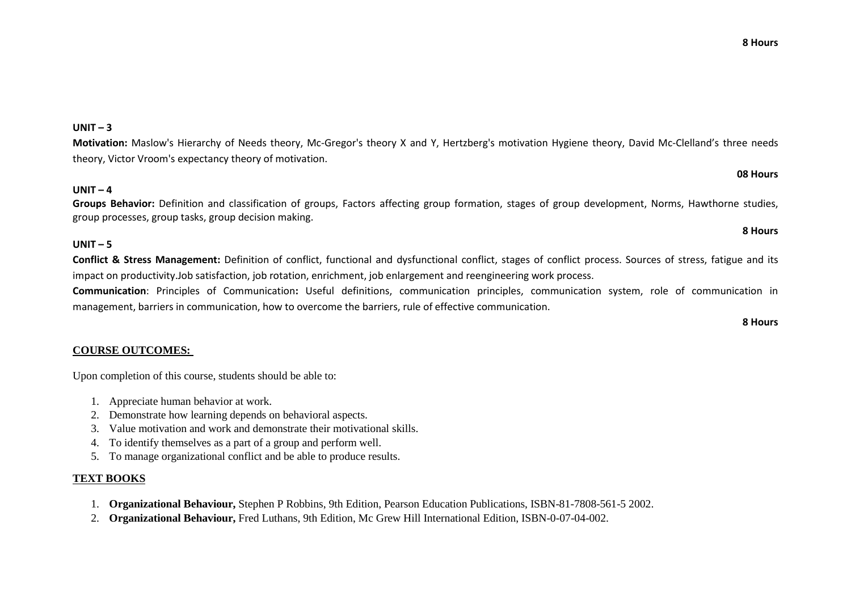# **UNIT – <sup>3</sup>**

**Motivation:** Maslow's Hierarchy of Needs theory, Mc-Gregor's theory X and Y, Hertzberg's motivation Hygiene theory, David Mc-Clelland's three needs theory, Victor Vroom's expectancy theory of motivation.

# **UNIT – <sup>4</sup>**

 **Groups Behavior:** Definition and classification of groups, Factors affecting group formation, stages of group development, Norms, Hawthorne studies, group processes, group tasks, group decision making.

# **UNIT – <sup>5</sup>**

 **Conflict & Stress Management:** Definition of conflict, functional and dysfunctional conflict, stages of conflict process. Sources of stress, fatigue and its impact on productivity.Job satisfaction, job rotation, enrichment, job enlargement and reengineering work process.

**Communication**: Principles of Communication**:** Useful definitions, communication principles, communication system, role of communication in management, barriers in communication, how to overcome the barriers, rule of effective communication.

### **COURSE OUTCOMES:**

Upon completion of this course, students should be able to:

- 1. Appreciate human behavior at work.
- 2. Demonstrate how learning depends on behavioral aspects.
- 3. Value motivation and work and demonstrate their motivational skills.
- 4. To identify themselves as a part of a group and perform well.
- 5. To manage organizational conflict and be able to produce results.

### **TEXT BOOKS**

- 1. **Organizational Behaviour,** Stephen P Robbins, 9th Edition, Pearson Education Publications, ISBN-81-7808-561-5 2002.
- 2. **Organizational Behaviour,** Fred Luthans, 9th Edition, Mc Grew Hill International Edition, ISBN-0-07-04-002.

# **08 Hours**

### **8 Hours**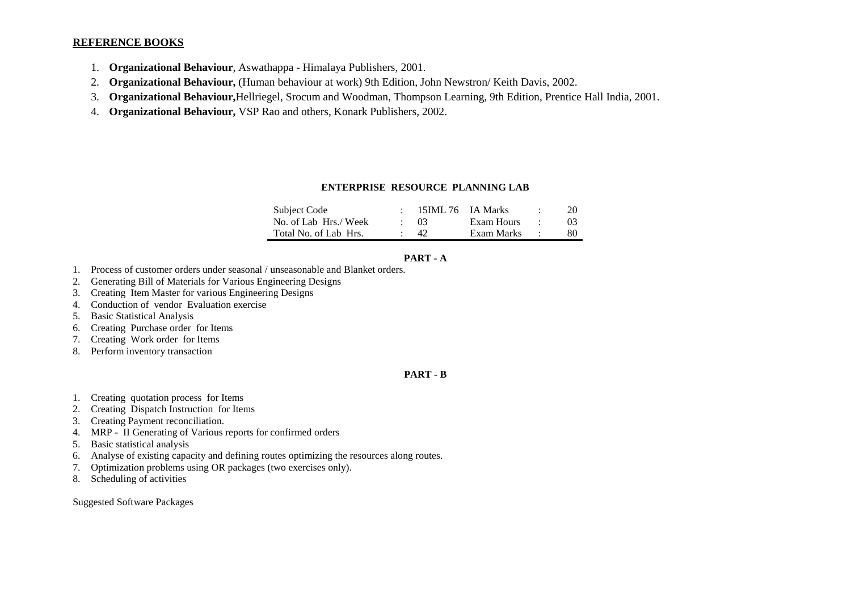### **REFERENCE BOOKS**

- 1. **Organizational Behaviour**, Aswathappa Himalaya Publishers, 2001.
- 2.**Organizational Behaviour,** (Human behaviour at work) 9th Edition, John Newstron/ Keith Davis, 2002.
- 3.**Organizational Behaviour,**Hellriegel, Srocum and Woodman, Thompson Learning, 9th Edition, Prentice Hall India, 2001.
- 4. **Organizational Behaviour,** VSP Rao and others, Konark Publishers, 2002.

### **ENTERPRISE RESOURCE PLANNING LAB**

| Subject Code          | 15IML 76 IA Marks |            |        | 20             |
|-----------------------|-------------------|------------|--------|----------------|
| No. of Lab Hrs./ Week | $\sim 03$         | Exam Hours |        | 0 <sup>3</sup> |
| Total No. of Lab Hrs. | $\Delta$          | Exam Marks | $\sim$ | 80             |

### **PART - A**

- 1. Process of customer orders under seasonal / unseasonable and Blanket orders.
- 2.Generating Bill of Materials for Various Engineering Designs
- 3.Creating Item Master for various Engineering Designs
- 4.Conduction of vendor Evaluation exercise
- 5.Basic Statistical Analysis
- Creating Purchase order for Items 6.
- 7.Creating Work order for Items
- 8. Perform inventory transaction

### **PART - B**

- 1. Creating quotation process for Items
- 2.Creating Dispatch Instruction for Items
- 3.Creating Payment reconciliation.
- 4.MRP - II Generating of Various reports for confirmed orders
- 5.Basic statistical analysis
- 6.Analyse of existing capacity and defining routes optimizing the resources along routes.
- 7.Optimization problems using OR packages (two exercises only).
- 8.Scheduling of activities

Suggested Software Packages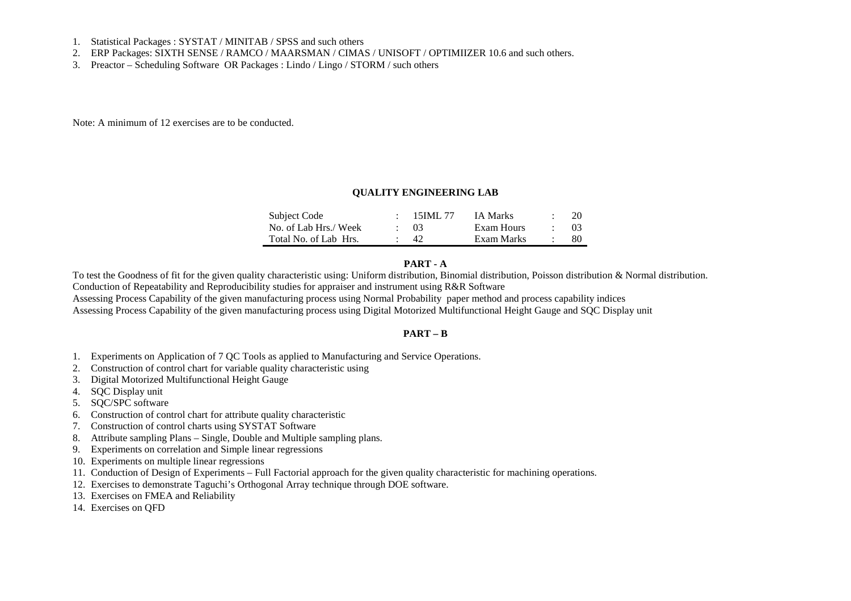- 1. Statistical Packages : SYSTAT / MINITAB / SPSS and such others
- 2. ERP Packages: SIXTH SENSE / RAMCO / MAARSMAN / CIMAS / UNISOFT / OPTIMIIZER 10.6 and such others.
- 3. Preactor Scheduling Software OR Packages : Lindo / Lingo / STORM / such others

Note: A minimum of 12 exercises are to be conducted.

#### **QUALITY ENGINEERING LAB**

| Subject Code          | - 15 IMI <i>- 77</i> | <b>IA Marks</b> | 20  |
|-----------------------|----------------------|-----------------|-----|
| No. of Lab Hrs./ Week | $\cdot$ 03           | Exam Hours      | -03 |
| Total No. of Lab Hrs. | -42                  | Exam Marks      | -80 |

### **PART - A**

 To test the Goodness of fit for the given quality characteristic using: Uniform distribution, Binomial distribution, Poisson distribution & Normal distribution. Conduction of Repeatability and Reproducibility studies for appraiser and instrument using R&R Software

 Assessing Process Capability of the given manufacturing process using Normal Probability paper method and process capability indices Assessing Process Capability of the given manufacturing process using Digital Motorized Multifunctional Height Gauge and SQC Display unit

#### **PART – B**

- 1. Experiments on Application of 7 QC Tools as applied to Manufacturing and Service Operations.
- 2.Construction of control chart for variable quality characteristic using
- 3.Digital Motorized Multifunctional Height Gauge
- 4.SQC Display unit
- 5. SQC/SPC software
- 6.Construction of control chart for attribute quality characteristic
- 7.Construction of control charts using SYSTAT Software
- 8.Attribute sampling Plans – Single, Double and Multiple sampling plans.
- 9. Experiments on correlation and Simple linear regressions
- 10. Experiments on multiple linear regressions
- 11. Conduction of Design of Experiments Full Factorial approach for the given quality characteristic for machining operations.
- 12. Exercises to demonstrate Taguchi's Orthogonal Array technique through DOE software.
- 13. Exercises on FMEA and Reliability
- 14. Exercises on QFD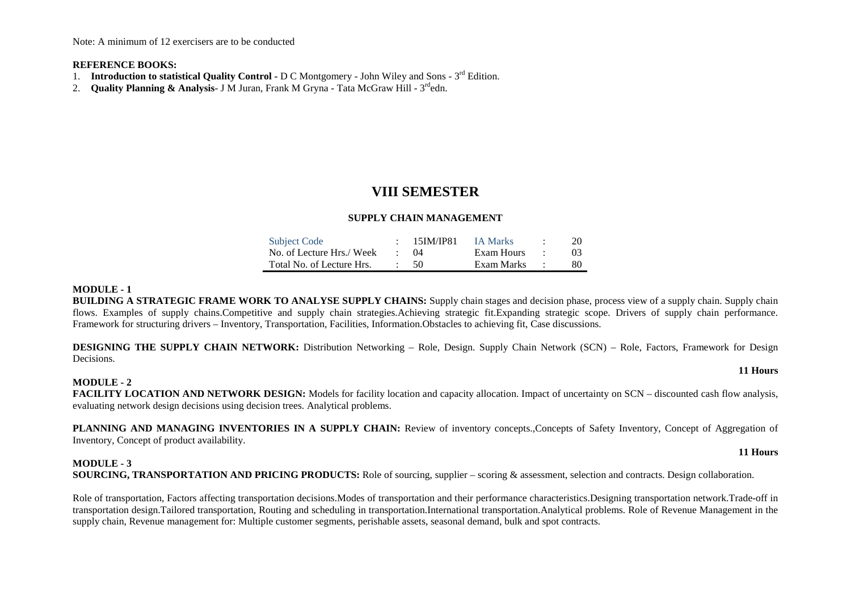Note: A minimum of 12 exercisers are to be conducted

#### **REFERENCE BOOKS:**

- 1. **Introduction to statistical Quality Control** D C Montgomery John Wiley and Sons 3rd Edition.
- 2. **Quality Planning & Analysis** J M Juran, Frank M Gryna Tata McGraw Hill 3rdedn.

# **VIII SEMESTER**

### **SUPPLY CHAIN MANAGEMENT**

| <b>Subject Code</b>       | - 15IM/IP81 | IA Marks   |        | 20             |
|---------------------------|-------------|------------|--------|----------------|
| No. of Lecture Hrs./ Week | (1)4        | Exam Hours | $\sim$ | 0 <sup>3</sup> |
| Total No. of Lecture Hrs. | - 50        | Exam Marks | $\sim$ | 80             |

#### **MODULE - 1**

 **BUILDING A STRATEGIC FRAME WORK TO ANALYSE SUPPLY CHAINS:** Supply chain stages and decision phase, process view of a supply chain. Supply chain flows. Examples of supply chains.Competitive and supply chain strategies.Achieving strategic fit.Expanding strategic scope. Drivers of supply chain performance. Framework for structuring drivers – Inventory, Transportation, Facilities, Information.Obstacles to achieving fit, Case discussions.

**DESIGNING THE SUPPLY CHAIN NETWORK:** Distribution Networking – Role, Design. Supply Chain Network (SCN) – Role, Factors, Framework for Design Decisions.

#### **MODULE - 2**

FACILITY LOCATION AND NETWORK DESIGN: Models for facility location and capacity allocation. Impact of uncertainty on SCN – discounted cash flow analysis, evaluating network design decisions using decision trees. Analytical problems.

PLANNING AND MANAGING INVENTORIES IN A SUPPLY CHAIN: Review of inventory concepts.,Concepts of Safety Inventory, Concept of Aggregation of Inventory, Concept of product availability.

# **MODULE - 3**

**SOURCING, TRANSPORTATION AND PRICING PRODUCTS:** Role of sourcing, supplier – scoring & assessment, selection and contracts. Design collaboration.

Role of transportation, Factors affecting transportation decisions.Modes of transportation and their performance characteristics.Designing transportation network.Trade-off in transportation design.Tailored transportation, Routing and scheduling in transportation.International transportation.Analytical problems. Role of Revenue Management in the supply chain, Revenue management for: Multiple customer segments, perishable assets, seasonal demand, bulk and spot contracts.

#### **11 Hours**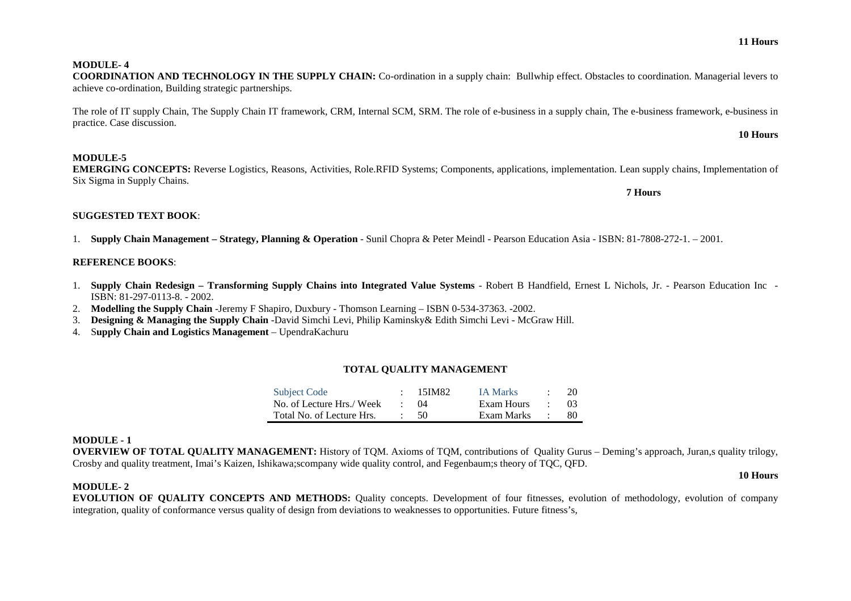**10 Hours** 

**7 Hours** 

### **MODULE- 4**

### **COORDINATION AND TECHNOLOGY IN THE SUPPLY CHAIN:** Co-ordination in a supply chain: Bullwhip effect. Obstacles to coordination. Managerial levers to achieve co-ordination, Building strategic partnerships.

The role of IT supply Chain, The Supply Chain IT framework, CRM, Internal SCM, SRM. The role of e-business in a supply chain, The e-business framework, e-business in practice. Case discussion. **10 Hours** 

### **MODULE-5**

 **EMERGING CONCEPTS:** Reverse Logistics, Reasons, Activities, Role.RFID Systems; Components, applications, implementation. Lean supply chains, Implementation of Six Sigma in Supply Chains.

### **SUGGESTED TEXT BOOK**:

1. **Supply Chain Management – Strategy, Planning & Operation** - Sunil Chopra & Peter Meindl - Pearson Education Asia - ISBN: 81-7808-272-1. – 2001.

### **REFERENCE BOOKS**:

- 1. **Supply Chain Redesign Transforming Supply Chains into Integrated Value Systems** Robert B Handfield, Ernest L Nichols, Jr. Pearson Education Inc ISBN: 81-297-0113-8. - 2002.
- 2. **Modelling the Supply Chain** -Jeremy F Shapiro, Duxbury Thomson Learning ISBN 0-534-37363. -2002.
- 3.**Designing & Managing the Supply Chain** -David Simchi Levi, Philip Kaminsky& Edith Simchi Levi - McGraw Hill.
- 4. S**upply Chain and Logistics Management**  UpendraKachuru

### **TOTAL QUALITY MANAGEMENT**

| <b>Subject Code</b>       |         | $: 15$ IM82 | <b>IA Marks</b> | 20  |
|---------------------------|---------|-------------|-----------------|-----|
| No. of Lecture Hrs./ Week |         | $\cdot$ ()4 | Exam Hours      | -03 |
| Total No. of Lecture Hrs. | $\cdot$ | $-50$       | Exam Marks      | -80 |

### **MODULE - 1**

 **OVERVIEW OF TOTAL QUALITY MANAGEMENT:** History of TQM. Axioms of TQM, contributions of Quality Gurus – Deming's approach, Juran,s quality trilogy, Crosby and quality treatment, Imai's Kaizen, Ishikawa;scompany wide quality control, and Fegenbaum;s theory of TQC, QFD.

### **MODULE- 2**

 **EVOLUTION OF QUALITY CONCEPTS AND METHODS:** Quality concepts. Development of four fitnesses, evolution of methodology, evolution of company integration, quality of conformance versus quality of design from deviations to weaknesses to opportunities. Future fitness's,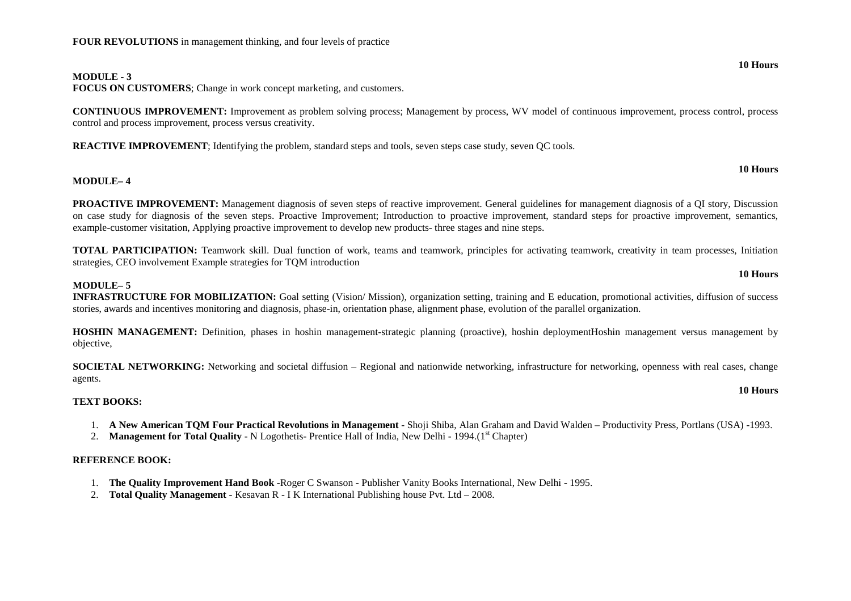### **MODULE - 3**

**FOCUS ON CUSTOMERS**; Change in work concept marketing, and customers.

**CONTINUOUS IMPROVEMENT:** Improvement as problem solving process; Management by process, WV model of continuous improvement, process control, process control and process improvement, process versus creativity.

**REACTIVE IMPROVEMENT:** Identifying the problem, standard steps and tools, seven steps case study, seven OC tools.

#### **10 Hours**

**10 Hours**

### **MODULE– 4**

**PROACTIVE IMPROVEMENT:** Management diagnosis of seven steps of reactive improvement. General guidelines for management diagnosis of a QI story, Discussion on case study for diagnosis of the seven steps. Proactive Improvement; Introduction to proactive improvement, standard steps for proactive improvement, semantics, example-customer visitation, Applying proactive improvement to develop new products- three stages and nine steps.

**TOTAL PARTICIPATION:** Teamwork skill. Dual function of work, teams and teamwork, principles for activating teamwork, creativity in team processes, Initiation strategies, CEO involvement Example strategies for TQM introduction

### **MODULE– 5**

 **INFRASTRUCTURE FOR MOBILIZATION:** Goal setting (Vision/ Mission), organization setting, training and E education, promotional activities, diffusion of success stories, awards and incentives monitoring and diagnosis, phase-in, orientation phase, alignment phase, evolution of the parallel organization.

**HOSHIN MANAGEMENT:** Definition, phases in hoshin management-strategic planning (proactive), hoshin deploymentHoshin management versus management by objective,

**SOCIETAL NETWORKING:** Networking and societal diffusion – Regional and nationwide networking, infrastructure for networking, openness with real cases, change agents.

### **TEXT BOOKS:**

- 1. **A New American TQM Four Practical Revolutions in Management** Shoji Shiba, Alan Graham and David Walden Productivity Press, Portlans (USA) -1993.
- 2. **Management for Total Quality** N Logothetis- Prentice Hall of India, New Delhi 1994.(1<sup>st</sup> Chapter)

#### **REFERENCE BOOK:**

- 1. **The Quality Improvement Hand Book** -Roger C Swanson Publisher Vanity Books International, New Delhi 1995.
- 2. **Total Quality Management** Kesavan R I K International Publishing house Pvt. Ltd 2008.

**10 Hours**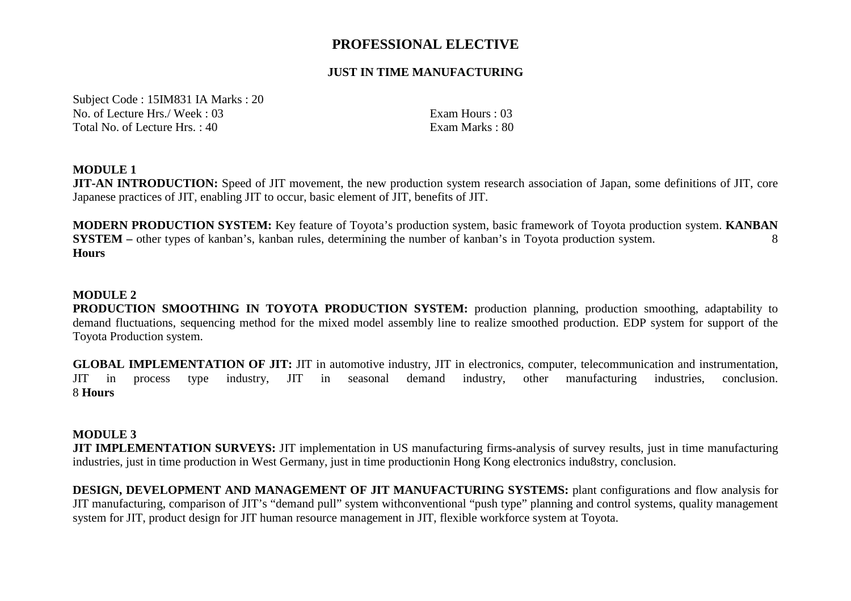# **PROFESSIONAL ELECTIVE**

# **JUST IN TIME MANUFACTURING**

Subject Code : 15IM831 IA Marks : 20 No. of Lecture Hrs./ Week : 03 Exam Hours : 03 Total No. of Lecture Hrs.  $: 40$ 

Exam Marks: 80

# **MODULE 1**

 **JIT-AN INTRODUCTION:** Speed of JIT movement, the new production system research association of Japan, some definitions of JIT, core Japanese practices of JIT, enabling JIT to occur, basic element of JIT, benefits of JIT.

**MODERN PRODUCTION SYSTEM:** Key feature of Toyota's production system, basic framework of Toyota production system. **KANBAN SYSTEM** – other types of kanban's, kanban rules, determining the number of kanban's in Toyota production system. **Hours** 

## **MODULE 2**

 **PRODUCTION SMOOTHING IN TOYOTA PRODUCTION SYSTEM:** production planning, production smoothing, adaptability to demand fluctuations, sequencing method for the mixed model assembly line to realize smoothed production. EDP system for support of the Toyota Production system.

**GLOBAL IMPLEMENTATION OF JIT:** JIT in automotive industry, JIT in electronics, computer, telecommunication and instrumentation, JIT in process type industry, JIT in seasonal demand industry, other manufacturing industries, conclusion. 8 **Hours** 

### **MODULE 3**

 **JIT IMPLEMENTATION SURVEYS:** JIT implementation in US manufacturing firms-analysis of survey results, just in time manufacturing industries, just in time production in West Germany, just in time productionin Hong Kong electronics indu8stry, conclusion.

**DESIGN, DEVELOPMENT AND MANAGEMENT OF JIT MANUFACTURING SYSTEMS:** plant configurations and flow analysis for JIT manufacturing, comparison of JIT's "demand pull" system withconventional "push type" planning and control systems, quality management system for JIT, product design for JIT human resource management in JIT, flexible workforce system at Toyota.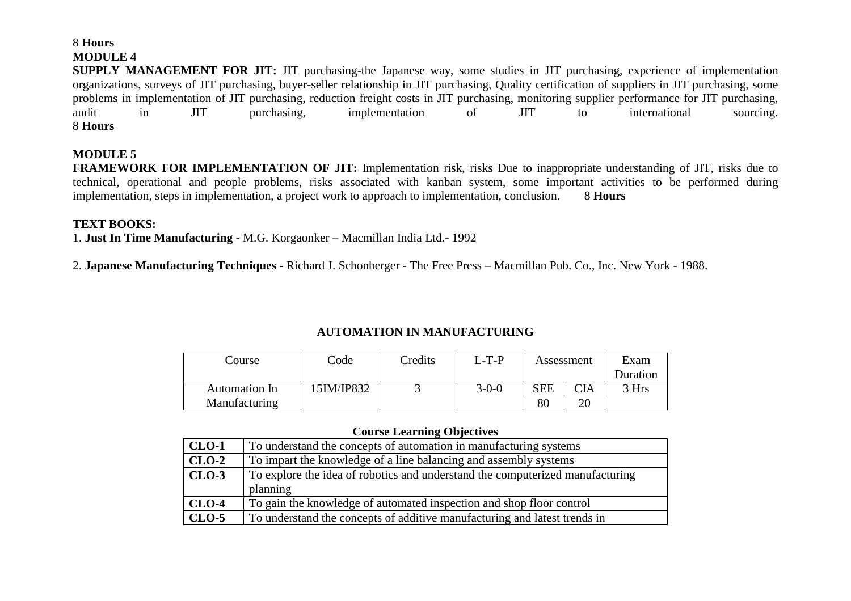# 8 **Hours MODULE 4**

 **SUPPLY MANAGEMENT FOR JIT:** JIT purchasing-the Japanese way, some studies in JIT purchasing, experience of implementation organizations, surveys of JIT purchasing, buyer-seller relationship in JIT purchasing, Quality certification of suppliers in JIT purchasing, some problems in implementation of JIT purchasing, reduction freight costs in JIT purchasing, monitoring supplier performance for JIT purchasing, audit in JIT purchasing, implementation of JIT to international sourcing. 8 **Hours** 

# **MODULE 5**

 **FRAMEWORK FOR IMPLEMENTATION OF JIT:** Implementation risk, risks Due to inappropriate understanding of JIT, risks due to technical, operational and people problems, risks associated with kanban system, some important activities to be performed during implementation, steps in implementation, a project work to approach to implementation, conclusion. 8 **Hours** 

## **TEXT BOOKS:**

1. **Just In Time Manufacturing** - M.G. Korgaonker – Macmillan India Ltd.- 1992

2. **Japanese Manufacturing Techniques -** Richard J. Schonberger - The Free Press – Macmillan Pub. Co., Inc. New York - 1988.

# **AUTOMATION IN MANUFACTURING**

| Course        | Code       | Credits | L-T-P       | Assessment |     | Exam     |
|---------------|------------|---------|-------------|------------|-----|----------|
|               |            |         |             |            |     | Duration |
| Automation In | 15IM/IP832 |         | $3 - 0 - 0$ | <b>SEE</b> | CIA | 3 Hrs    |
| Manufacturing |            |         |             | 80         | 20  |          |

### **Course Learning Objectives**

| $CLO-1$ | To understand the concepts of automation in manufacturing systems             |
|---------|-------------------------------------------------------------------------------|
| $CLO-2$ | To impart the knowledge of a line balancing and assembly systems              |
| $CLO-3$ | To explore the idea of robotics and understand the computerized manufacturing |
|         | planning                                                                      |
| $CLO-4$ | To gain the knowledge of automated inspection and shop floor control          |
| $CLO-5$ | To understand the concepts of additive manufacturing and latest trends in     |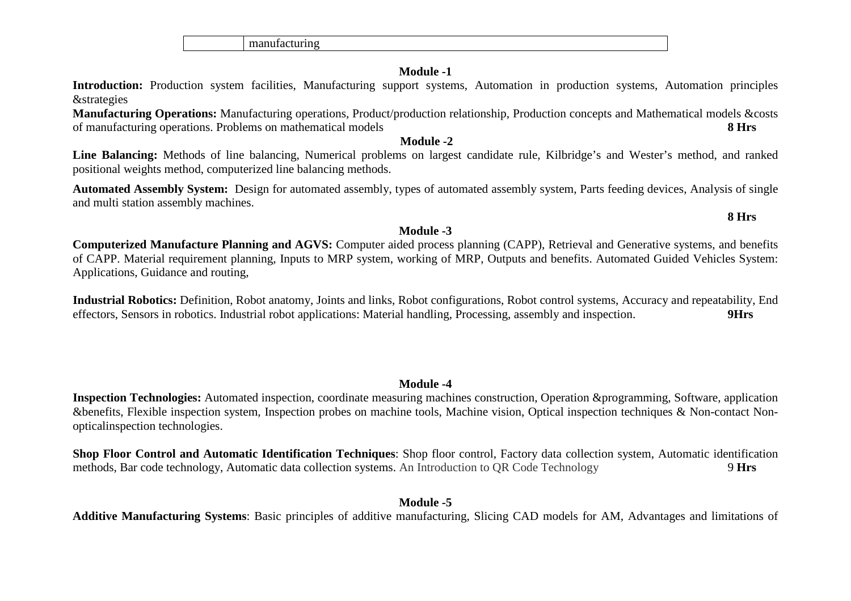manufacturing

# **Module -1**

 **Introduction:** Production system facilities, Manufacturing support systems, Automation in production systems, Automation principles &strategies

 **Manufacturing Operations:** Manufacturing operations, Product/production relationship, Production concepts and Mathematical models &costs of manufacturing operations. Problems on mathematical models **8 Hrs**

### **Module -2**

 **Line Balancing:** Methods of line balancing, Numerical problems on largest candidate rule, Kilbridge's and Wester's method, and ranked positional weights method, computerized line balancing methods.

**Automated Assembly System:** Design for automated assembly, types of automated assembly system, Parts feeding devices, Analysis of single and multi station assembly machines.

# **Module -3**

 **Computerized Manufacture Planning and AGVS:** Computer aided process planning (CAPP), Retrieval and Generative systems, and benefits of CAPP. Material requirement planning, Inputs to MRP system, working of MRP, Outputs and benefits. Automated Guided Vehicles System: Applications, Guidance and routing,

**Industrial Robotics:** Definition, Robot anatomy, Joints and links, Robot configurations, Robot control systems, Accuracy and repeatability, End effectors, Sensors in robotics. Industrial robot applications: Material handling, Processing, assembly and inspection. **9Hrs** 

# **Module -4**

 **Inspection Technologies:** Automated inspection, coordinate measuring machines construction, Operation &programming, Software, application &benefits, Flexible inspection system, Inspection probes on machine tools, Machine vision, Optical inspection techniques & Non-contact Nonopticalinspection technologies.

**Shop Floor Control and Automatic Identification Techniques**: Shop floor control, Factory data collection system, Automatic identification methods, Bar code technology, Automatic data collection systems. An Introduction to QR Code Technology 9 **Hrs** 

# **Module -5**

**Additive Manufacturing Systems**: Basic principles of additive manufacturing, Slicing CAD models for AM, Advantages and limitations of

# **8 Hrs**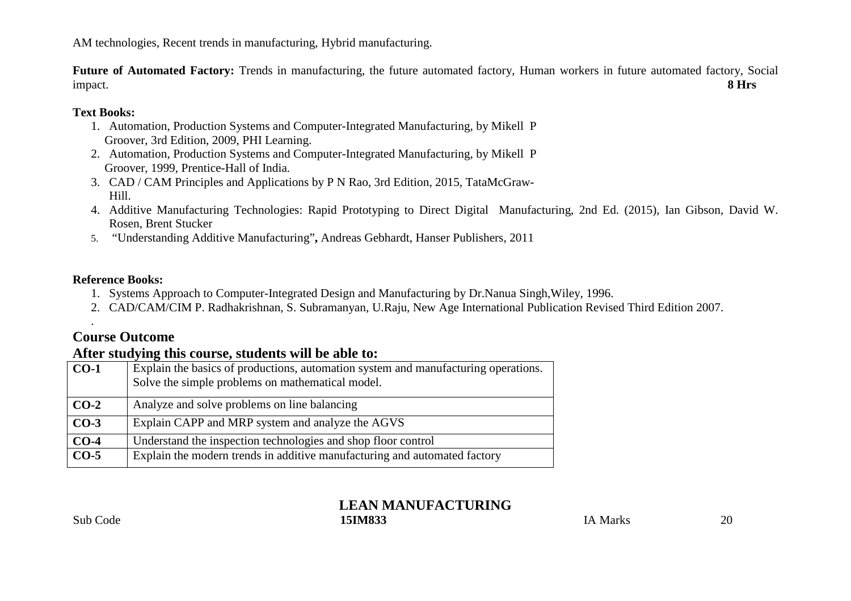AM technologies, Recent trends in manufacturing, Hybrid manufacturing.

**Future of Automated Factory:** Trends in manufacturing, the future automated factory, Human workers in future automated factory, Social impact. **8 Hrs**

# **Text Books:**

- 1. Automation, Production Systems and Computer-Integrated Manufacturing, by Mikell P Groover, 3rd Edition, 2009, PHI Learning.
- 2. Automation, Production Systems and Computer-Integrated Manufacturing, by Mikell P Groover, 1999, Prentice-Hall of India.
- 3. CAD / CAM Principles and Applications by P N Rao, 3rd Edition, 2015, TataMcGraw-Hill.
- 4. Additive Manufacturing Technologies: Rapid Prototyping to Direct Digital Manufacturing, 2nd Ed. (2015), Ian Gibson, David W. Rosen, Brent Stucker
- 5. "Understanding Additive Manufacturing"**,** Andreas Gebhardt, Hanser Publishers, 2011

# **Reference Books:**

- 1. Systems Approach to Computer-Integrated Design and Manufacturing by Dr.Nanua Singh,Wiley, 1996.
- 2. CAD/CAM/CIM P. Radhakrishnan, S. Subramanyan, U.Raju, New Age International Publication Revised Third Edition 2007.

# **Course Outcome**

.

# **After studying this course, students will be able to:**

| $CO-1$ | Explain the basics of productions, automation system and manufacturing operations.<br>Solve the simple problems on mathematical model. |
|--------|----------------------------------------------------------------------------------------------------------------------------------------|
| $CO-2$ | Analyze and solve problems on line balancing                                                                                           |
| $CO-3$ | Explain CAPP and MRP system and analyze the AGVS                                                                                       |
| $CO-4$ | Understand the inspection technologies and shop floor control                                                                          |
| $CO-5$ | Explain the modern trends in additive manufacturing and automated factory                                                              |

# **LEAN MANUFACTURING** $I$ A Marks  $20$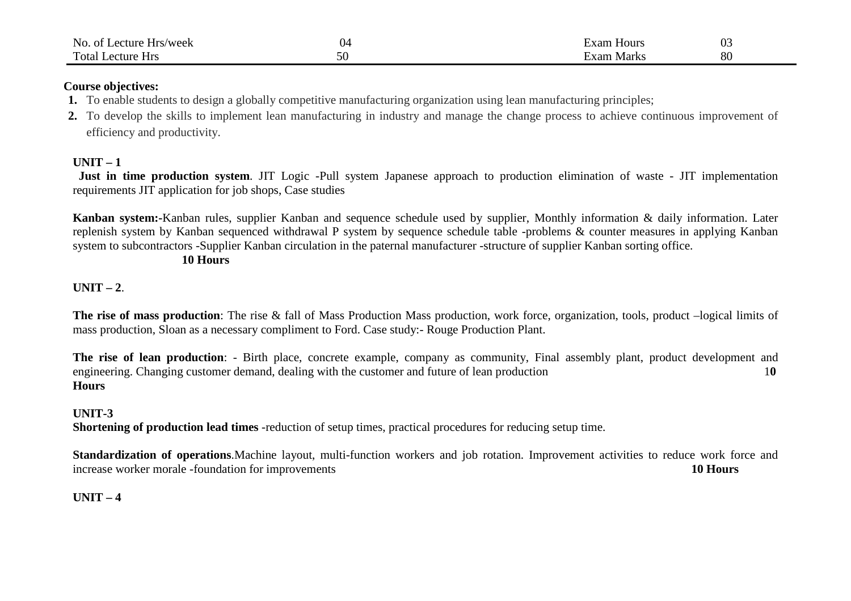| No.<br>Lecture<br>Hrs/week<br>- OT | J4 | xam<br>Hour   | 03 |
|------------------------------------|----|---------------|----|
| Total<br>ecture<br><b>Hrs</b>      | ЭU | Mark.<br>Exam | 80 |

## **Course objectives:**

- **1.** To enable students to design a globally competitive manufacturing organization using lean manufacturing principles;
- **2.** To develop the skills to implement lean manufacturing in industry and manage the change process to achieve continuous improvement of efficiency and productivity.

# **UNIT – 1**

  **Just in time production system**. JIT Logic -Pull system Japanese approach to production elimination of waste - JIT implementation requirements JIT application for job shops, Case studies

**Kanban system:-**Kanban rules, supplier Kanban and sequence schedule used by supplier, Monthly information & daily information. Later replenish system by Kanban sequenced withdrawal P system by sequence schedule table -problems & counter measures in applying Kanban system to subcontractors -Supplier Kanban circulation in the paternal manufacturer -structure of supplier Kanban sorting office.

# **10 Hours**

# **UNIT – 2.**

The rise of mass production: The rise & fall of Mass Production Mass production, work force, organization, tools, product –logical limits of mass production, Sloan as a necessary compliment to Ford. Case study:- Rouge Production Plant.

**The rise of lean production**: - Birth place, concrete example, company as community, Final assembly plant, product development and $10$ engineering. Changing customer demand, dealing with the customer and future of lean production **Hours**

# **UNIT-3**

**Shortening of production lead times** -reduction of setup times, practical procedures for reducing setup time.

**Standardization of operations**.Machine layout, multi-function workers and job rotation. Improvement activities to reduce work force and increase worker morale -foundation for improvements**10 Hours**

# **UNIT – 4**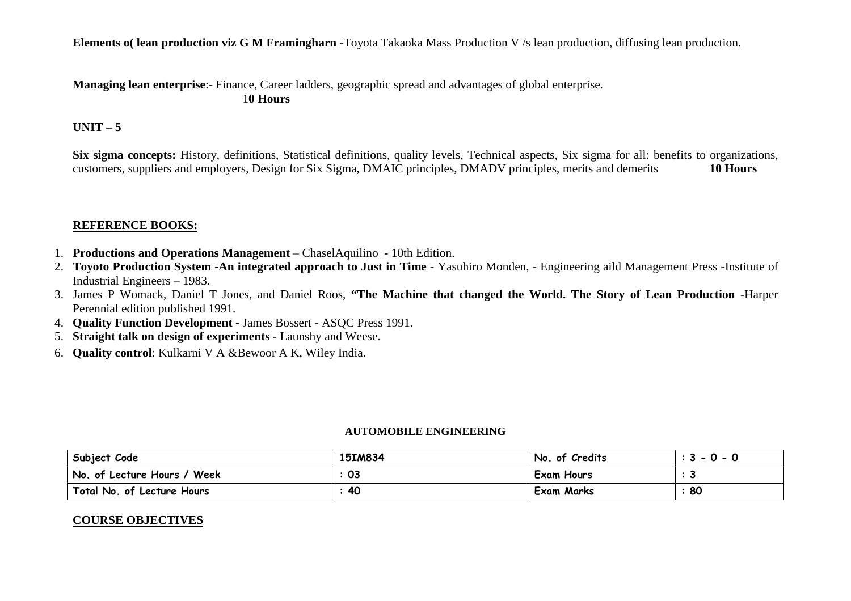**Elements o( lean production viz G M Framingharn** -Toyota Takaoka Mass Production V /s lean production, diffusing lean production.

**Managing lean enterprise**:- Finance, Career ladders, geographic spread and advantages of global enterprise. 1**0 Hours**

# **UNIT – 5**

**Six sigma concepts:** History, definitions, Statistical definitions, quality levels, Technical aspects, Six sigma for all: benefits to organizations, customers, suppliers and employers, Design for Six Sigma, DMAIC principles, DMADV principles, merits and demerits **10 Hours** 

## **REFERENCE BOOKS:**

- 1. **Productions and Operations Management** ChaselAquilino 10th Edition.
- 2. **Toyoto Production System -An integrated approach to Just in Time** Yasuhiro Monden, Engineering aild Management Press -Institute of Industrial Engineers – 1983.
- 3. James P Womack, Daniel T Jones, and Daniel Roos, **"The Machine that changed the World. The Story of Lean Production** -Harper Perennial edition published 1991.
- 4. **Quality Function Development** James Bossert ASQC Press 1991.
- 5. **Straight talk on design of experiments** Launshy and Weese.
- 6. **Quality control**: Kulkarni V A &Bewoor A K, Wiley India.

### **AUTOMOBILE ENGINEERING**

| Subject Code                | 15IM834 | No. of Credits    | $: 3 - 0 - 0$ |
|-----------------------------|---------|-------------------|---------------|
| No. of Lecture Hours / Week | 03      | <b>Exam Hours</b> |               |
| Total No. of Lecture Hours  | 40      | Exam Marks        | 80            |

# **COURSE OBJECTIVES**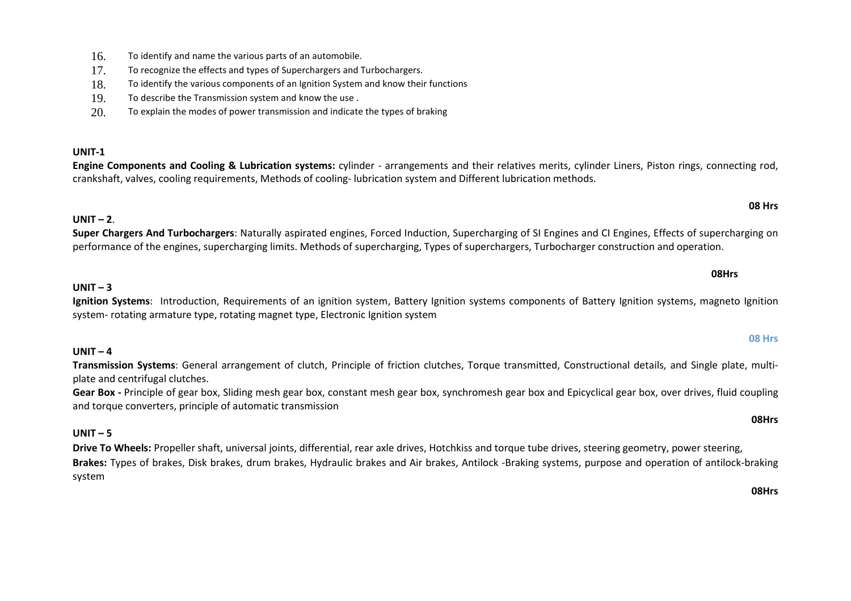- 16.To identify and name the various parts of an automobile.
- 17.To recognize the effects and types of Superchargers and Turbochargers.
- 18.To identify the various components of an Ignition System and know their functions
- 19.To describe the Transmission system and know the use .
- 20.To explain the modes of power transmission and indicate the types of braking

### **UNIT-1**

 **Engine Components and Cooling & Lubrication systems:** cylinder - arrangements and their relatives merits, cylinder Liners, Piston rings, connecting rod, crankshaft, valves, cooling requirements, Methods of cooling- lubrication system and Different lubrication methods.

# **UNIT – <sup>2</sup>**.

**Super Chargers And Turbochargers**: Naturally aspirated engines, Forced Induction, Supercharging of SI Engines and CI Engines, Effects of supercharging on performance of the engines, supercharging limits. Methods of supercharging, Types of superchargers, Turbocharger construction and operation.

**UNIT – <sup>3</sup> Ignition Systems**: Introduction, Requirements of an ignition system, Battery Ignition systems components of Battery Ignition systems, magneto Ignition system- rotating armature type, rotating magnet type, Electronic Ignition system

# **UNIT – <sup>4</sup>**

 **Transmission Systems**: General arrangement of clutch, Principle of friction clutches, Torque transmitted, Constructional details, and Single plate, multiplate and centrifugal clutches.

**Gear Box -** Principle of gear box, Sliding mesh gear box, constant mesh gear box, synchromesh gear box and Epicyclical gear box, over drives, fluid coupling and torque converters, principle of automatic transmission

# **UNIT – <sup>5</sup>**

**Drive To Wheels:** Propeller shaft, universal joints, differential, rear axle drives, Hotchkiss and torque tube drives, steering geometry, power steering, **Brakes:** Types of brakes, Disk brakes, drum brakes, Hydraulic brakes and Air brakes, Antilock -Braking systems, purpose and operation of antilock-braking system

**08Hrs**

### **08 Hrs**

**08 Hrs**

### **08Hrs**

# **08Hrs**